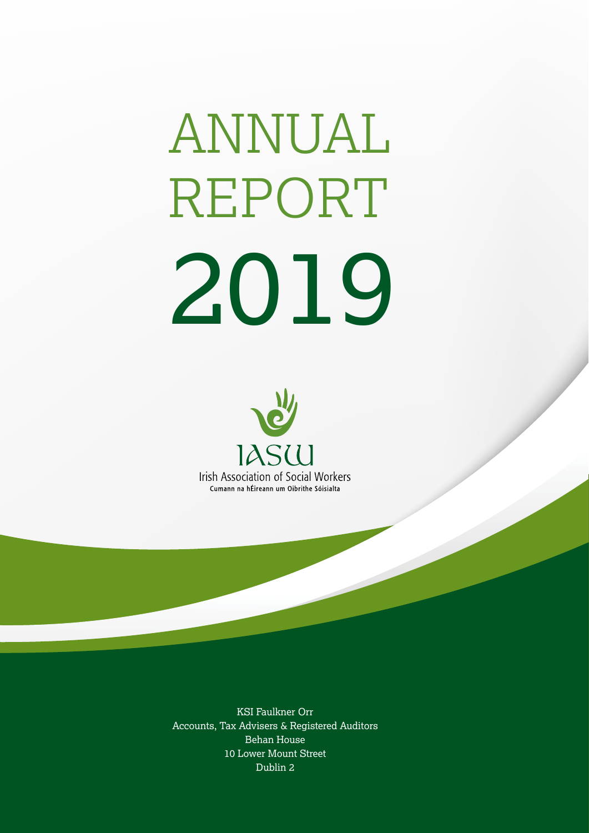# ANNUAL REPORT 2019



KSI Faulkner Orr Accounts, Tax Advisers & Registered Auditors Behan House 10 Lower Mount Street Dublin 2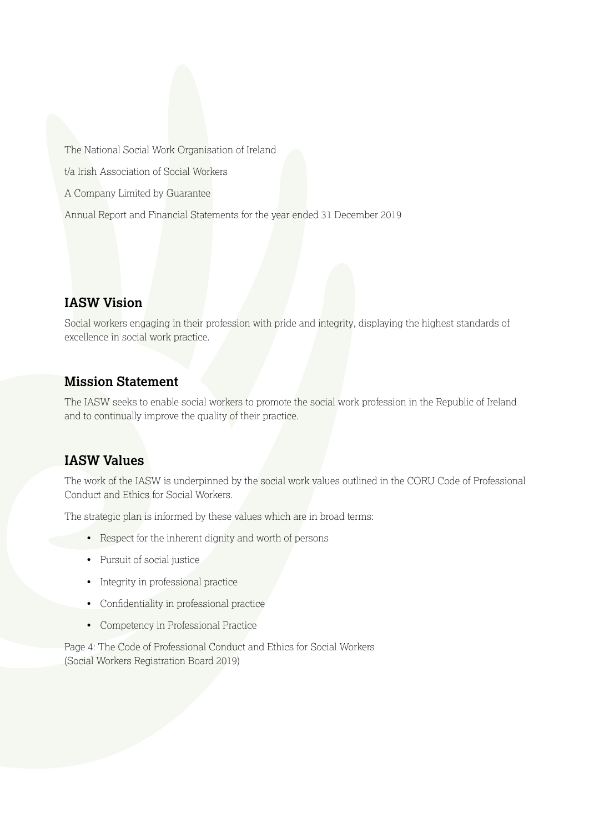The National Social Work Organisation of Ireland

t/a Irish Association of Social Workers

A Company Limited by Guarantee

Annual Report and Financial Statements for the year ended 31 December 2019

#### **IASW Vision**

Social workers engaging in their profession with pride and integrity, displaying the highest standards of excellence in social work practice.

#### **Mission Statement**

The IASW seeks to enable social workers to promote the social work profession in the Republic of Ireland and to continually improve the quality of their practice.

#### **IASW Values**

The work of the IASW is underpinned by the social work values outlined in the CORU Code of Professional Conduct and Ethics for Social Workers.

The strategic plan is informed by these values which are in broad terms:

- Respect for the inherent dignity and worth of persons
- Pursuit of social justice
- Integrity in professional practice
- • Confidentiality in professional practice
- Competency in Professional Practice

Page 4: The Code of Professional Conduct and Ethics for Social Workers (Social Workers Registration Board 2019)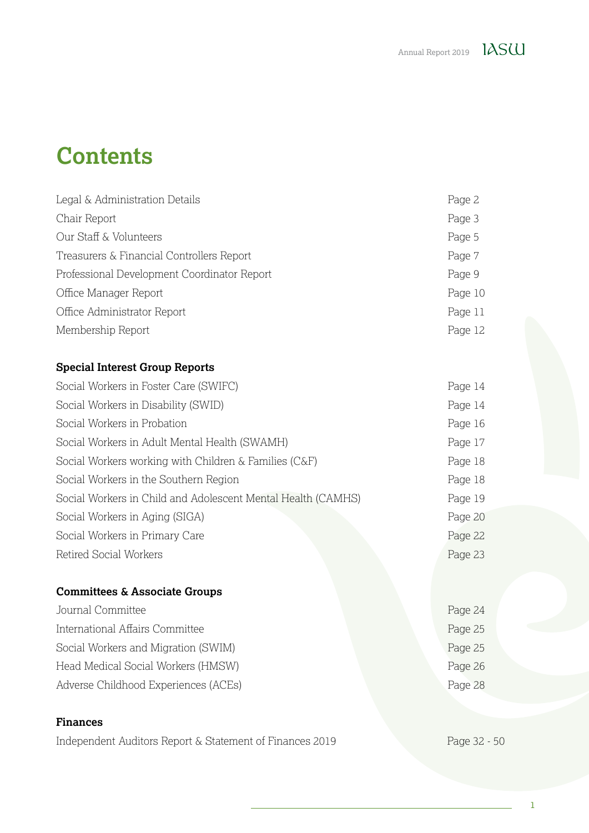Annual Report 2019 1ASU

# **Contents**

| Legal & Administration Details              | Page 2  |
|---------------------------------------------|---------|
| Chair Report                                | Page 3  |
| Our Staff & Volunteers                      | Page 5  |
| Treasurers & Financial Controllers Report   | Page 7  |
| Professional Development Coordinator Report | Page 9  |
| Office Manager Report                       | Page 10 |
| Office Administrator Report                 | Page 11 |
| Membership Report                           | Page 12 |

### **Special Interest Group Reports**

| Social Workers in Foster Care (SWIFC)                        | Page 14 |
|--------------------------------------------------------------|---------|
| Social Workers in Disability (SWID)                          | Page 14 |
| Social Workers in Probation                                  | Page 16 |
| Social Workers in Adult Mental Health (SWAMH)                | Page 17 |
| Social Workers working with Children & Families (C&F)        | Page 18 |
| Social Workers in the Southern Region                        | Page 18 |
| Social Workers in Child and Adolescent Mental Health (CAMHS) | Page 19 |
| Social Workers in Aging (SIGA)                               | Page 20 |
| Social Workers in Primary Care                               | Page 22 |
| Retired Social Workers                                       | Page 23 |
|                                                              |         |

#### **Committees & Associate Groups**

| Journal Committee                    | Page 24 |
|--------------------------------------|---------|
| International Affairs Committee      | Page 25 |
| Social Workers and Migration (SWIM)  | Page 25 |
| Head Medical Social Workers (HMSW)   | Page 26 |
| Adverse Childhood Experiences (ACEs) | Page 28 |

#### **Finances**

Independent Auditors Report & Statement of Finances 2019 **Dage 32 - 50** 

1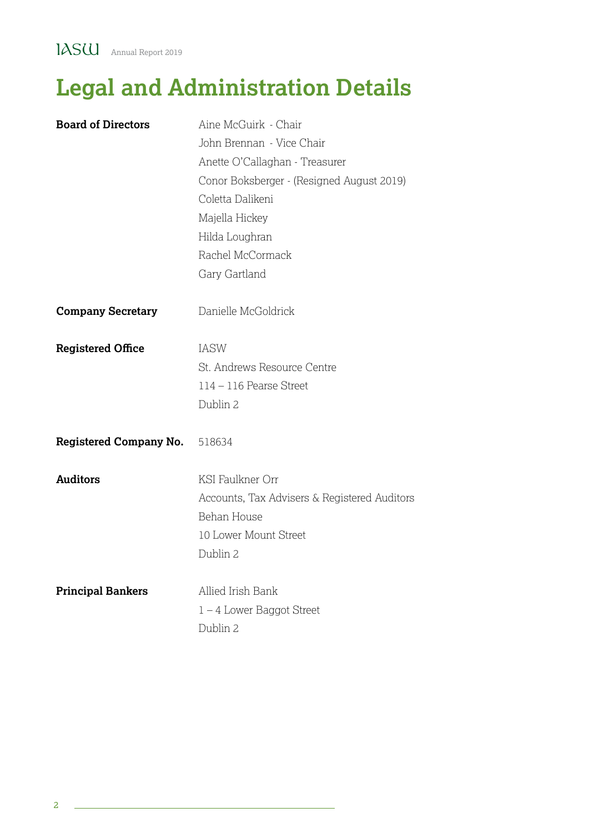# **Legal and Administration Details**

| <b>Board of Directors</b>     | Aine McGuirk - Chair                         |
|-------------------------------|----------------------------------------------|
|                               | John Brennan - Vice Chair                    |
|                               | Anette O'Callaghan - Treasurer               |
|                               | Conor Boksberger - (Resigned August 2019)    |
|                               | Coletta Dalikeni                             |
|                               | Majella Hickey                               |
|                               | Hilda Loughran                               |
|                               | Rachel McCormack                             |
|                               | Gary Gartland                                |
| <b>Company Secretary</b>      | Danielle McGoldrick                          |
| <b>Registered Office</b>      | IASW                                         |
|                               | St. Andrews Resource Centre                  |
|                               | $114 - 116$ Pearse Street                    |
|                               | Dublin 2                                     |
| <b>Registered Company No.</b> | 518634                                       |
| <b>Auditors</b>               | KSI Faulkner Orr                             |
|                               | Accounts, Tax Advisers & Registered Auditors |
|                               | Behan House                                  |
|                               | 10 Lower Mount Street                        |
|                               | Dublin 2                                     |
| <b>Principal Bankers</b>      | Allied Irish Bank                            |
|                               | $1 - 4$ Lower Baggot Street                  |
|                               | Dublin 2                                     |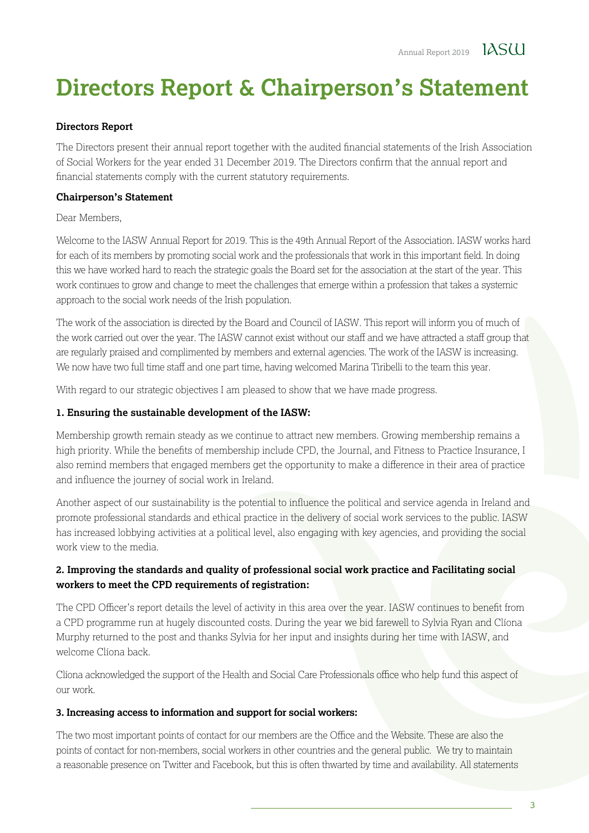# **Directors Report & Chairperson's Statement**

#### **Directors Report**

The Directors present their annual report together with the audited financial statements of the Irish Association of Social Workers for the year ended 31 December 2019. The Directors confirm that the annual report and financial statements comply with the current statutory requirements.

#### **Chairperson's Statement**

#### Dear Members,

Welcome to the IASW Annual Report for 2019. This is the 49th Annual Report of the Association. IASW works hard for each of its members by promoting social work and the professionals that work in this important field. In doing this we have worked hard to reach the strategic goals the Board set for the association at the start of the year. This work continues to grow and change to meet the challenges that emerge within a profession that takes a systemic approach to the social work needs of the Irish population.

The work of the association is directed by the Board and Council of IASW. This report will inform you of much of the work carried out over the year. The IASW cannot exist without our staff and we have attracted a staff group that are regularly praised and complimented by members and external agencies. The work of the IASW is increasing. We now have two full time staff and one part time, having welcomed Marina Tiribelli to the team this year.

With regard to our strategic objectives I am pleased to show that we have made progress.

#### **1. Ensuring the sustainable development of the IASW:**

Membership growth remain steady as we continue to attract new members. Growing membership remains a high priority. While the benefits of membership include CPD, the Journal, and Fitness to Practice Insurance, I also remind members that engaged members get the opportunity to make a difference in their area of practice and influence the journey of social work in Ireland.

Another aspect of our sustainability is the potential to influence the political and service agenda in Ireland and promote professional standards and ethical practice in the delivery of social work services to the public. IASW has increased lobbying activities at a political level, also engaging with key agencies, and providing the social work view to the media.

#### **2. Improving the standards and quality of professional social work practice and Facilitating social workers to meet the CPD requirements of registration:**

The CPD Officer's report details the level of activity in this area over the year. IASW continues to benefit from a CPD programme run at hugely discounted costs. During the year we bid farewell to Sylvia Ryan and Clíona Murphy returned to the post and thanks Sylvia for her input and insights during her time with IASW, and welcome Clíona back.

Clíona acknowledged the support of the Health and Social Care Professionals office who help fund this aspect of our work.

#### **3. Increasing access to information and support for social workers:**

The two most important points of contact for our members are the Office and the Website. These are also the points of contact for non-members, social workers in other countries and the general public. We try to maintain a reasonable presence on Twitter and Facebook, but this is often thwarted by time and availability. All statements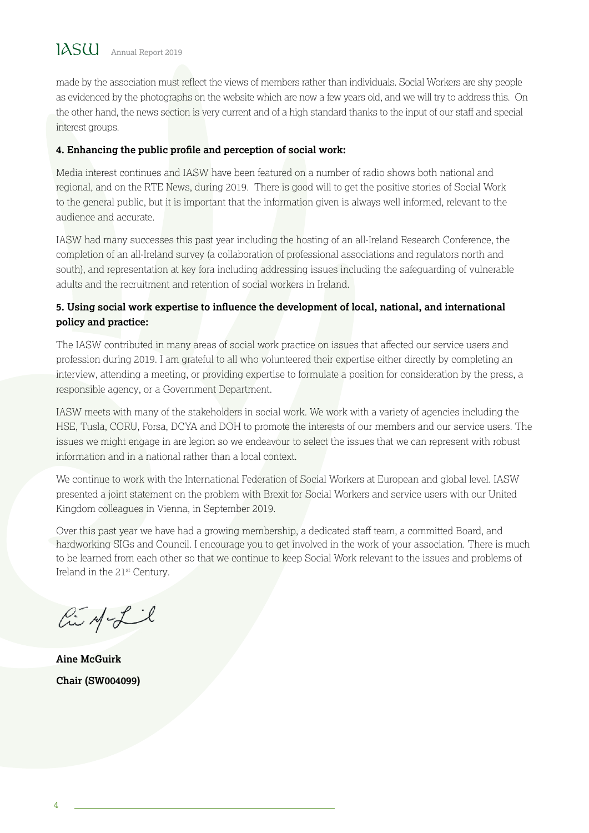### IASCU Annual Report 2019

made by the association must reflect the views of members rather than individuals. Social Workers are shy people as evidenced by the photographs on the website which are now a few years old, and we will try to address this. On the other hand, the news section is very current and of a high standard thanks to the input of our staff and special interest groups.

#### **4. Enhancing the public profile and perception of social work:**

Media interest continues and IASW have been featured on a number of radio shows both national and regional, and on the RTE News, during 2019. There is good will to get the positive stories of Social Work to the general public, but it is important that the information given is always well informed, relevant to the audience and accurate.

IASW had many successes this past year including the hosting of an all-Ireland Research Conference, the completion of an all-Ireland survey (a collaboration of professional associations and regulators north and south), and representation at key fora including addressing issues including the safeguarding of vulnerable adults and the recruitment and retention of social workers in Ireland.

#### **5. Using social work expertise to influence the development of local, national, and international policy and practice:**

The IASW contributed in many areas of social work practice on issues that affected our service users and profession during 2019. I am grateful to all who volunteered their expertise either directly by completing an interview, attending a meeting, or providing expertise to formulate a position for consideration by the press, a responsible agency, or a Government Department.

IASW meets with many of the stakeholders in social work. We work with a variety of agencies including the HSE, Tusla, CORU, Forsa, DCYA and DOH to promote the interests of our members and our service users. The issues we might engage in are legion so we endeavour to select the issues that we can represent with robust information and in a national rather than a local context.

We continue to work with the International Federation of Social Workers at European and global level. IASW presented a joint statement on the problem with Brexit for Social Workers and service users with our United Kingdom colleagues in Vienna, in September 2019.

Over this past year we have had a growing membership, a dedicated staff team, a committed Board, and hardworking SIGs and Council. I encourage you to get involved in the work of your association. There is much to be learned from each other so that we continue to keep Social Work relevant to the issues and problems of Ireland in the 21<sup>st</sup> Century.

Ci Mufil

**Aine McGuirk Chair (SW004099)**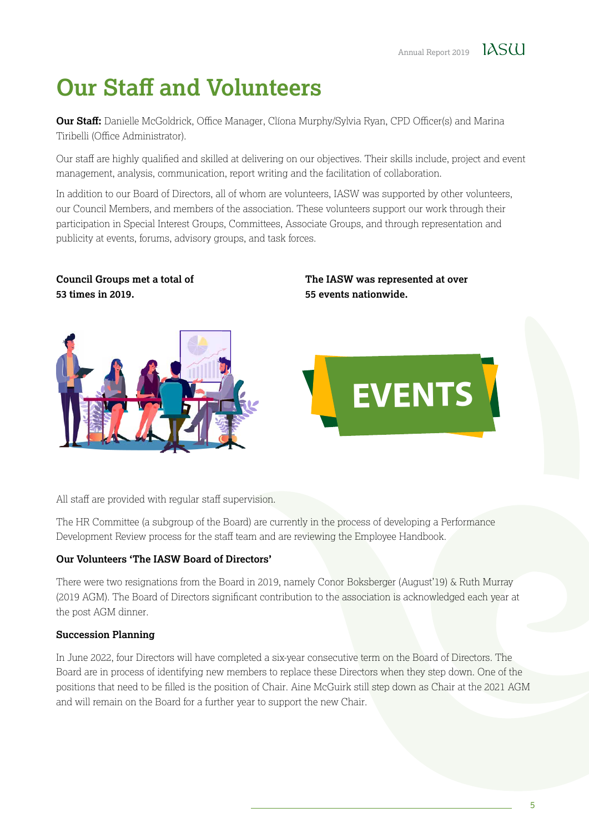# **Our Staff and Volunteers**

**Our Staff:** Danielle McGoldrick, Office Manager, Clíona Murphy/Sylvia Ryan, CPD Officer(s) and Marina Tiribelli (Office Administrator).

Our staff are highly qualified and skilled at delivering on our objectives. Their skills include, project and event management, analysis, communication, report writing and the facilitation of collaboration.

In addition to our Board of Directors, all of whom are volunteers, IASW was supported by other volunteers, our Council Members, and members of the association. These volunteers support our work through their participation in Special Interest Groups, Committees, Associate Groups, and through representation and publicity at events, forums, advisory groups, and task forces.

# **53 times in 2019. 55 events nationwide.**



# **Council Groups met a total of The IASW was represented at over**



All staff are provided with regular staff supervision.

The HR Committee (a subgroup of the Board) are currently in the process of developing a Performance Development Review process for the staff team and are reviewing the Employee Handbook.

#### **Our Volunteers 'The IASW Board of Directors'**

There were two resignations from the Board in 2019, namely Conor Boksberger (August'19) & Ruth Murray (2019 AGM). The Board of Directors significant contribution to the association is acknowledged each year at the post AGM dinner.

#### **Succession Planning**

In June 2022, four Directors will have completed a six-year consecutive term on the Board of Directors. The Board are in process of identifying new members to replace these Directors when they step down. One of the positions that need to be filled is the position of Chair. Aine McGuirk still step down as Chair at the 2021 AGM and will remain on the Board for a further year to support the new Chair.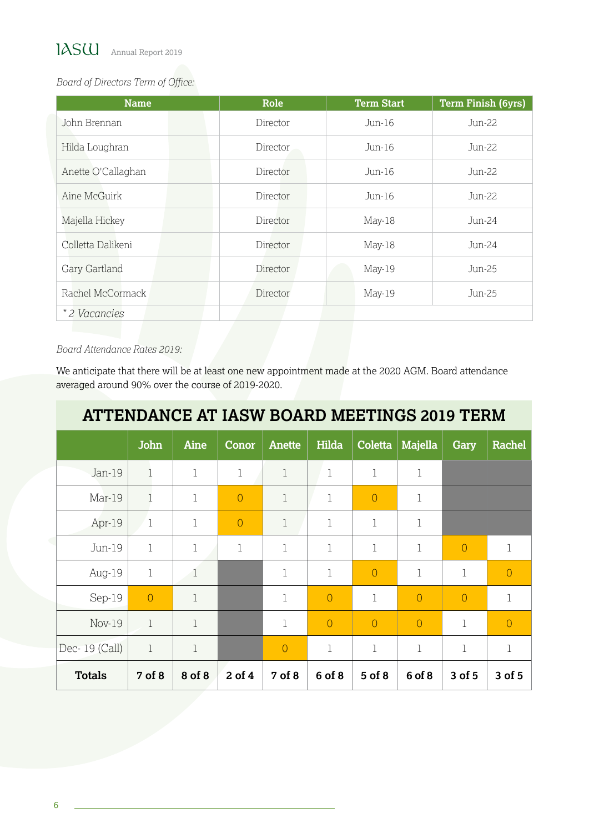## IASU Annual Report 2019

#### *Board of Directors Term of Office:*

| <b>Name</b>        | Role     | <b>Term Start</b> | <b>Term Finish (6yrs)</b> |  |
|--------------------|----------|-------------------|---------------------------|--|
| John Brennan       | Director | $J$ un-16         | Jun-22                    |  |
| Hilda Loughran     | Director | Jun-16            | Jun-22                    |  |
| Anette O'Callaghan | Director | Jun-16            | Jun-22                    |  |
| Aine McGuirk       | Director | Jun-16            | Jun-22                    |  |
| Majella Hickey     | Director | May-18            | Jun-24                    |  |
| Colletta Dalikeni  | Director | May-18            | Jun-24                    |  |
| Gary Gartland      | Director | May-19            | Jun-25                    |  |
| Rachel McCormack   | Director | May-19            | Jun-25                    |  |
| * 2 Vacancies      |          |                   |                           |  |

#### *Board Attendance Rates 2019:*

We anticipate that there will be at least one new appointment made at the 2020 AGM. Board attendance averaged around 90% over the course of 2019-2020.

| ATTENDANCE AT IASW BOARD MEETINGS 2019 TERM |                |        |                |                |                |                |                |                |                |
|---------------------------------------------|----------------|--------|----------------|----------------|----------------|----------------|----------------|----------------|----------------|
|                                             | John           | Aine   | <b>Conor</b>   | Anette         | Hilda          | <b>Coletta</b> | Majella        | Gary           | Rachel         |
| Jan-19                                      | 1              | 1      | 1              | 1              | 1              | 1              | $\mathbf 1$    |                |                |
| Mar-19                                      | 1              | l      | $\overline{0}$ | $\mathbf 1$    | 1              | $\overline{O}$ | $\mathbf 1$    |                |                |
| Apr-19                                      | $\mathbf 1$    | 1      | $\overline{0}$ | 1              | 1              | $\mathbf{1}$   | 1              |                |                |
| Jun-19                                      | $\mathbf{1}$   | 1      | $\mathbf{1}$   | 1              | 1              | 1              | 1              | $\overline{0}$ | $\mathbf{1}$   |
| Aug-19                                      | $\mathbf{1}$   | 1      |                | 1              | $\mathbf{1}$   | $\overline{0}$ | 1              | 1              | $\overline{0}$ |
| Sep-19                                      | $\overline{0}$ | 1      |                | l              | $\overline{O}$ | $\mathbf{1}$   | $\overline{0}$ | $\overline{O}$ | 1              |
| <b>Nov-19</b>                               | 1              | 1      |                | 1              | $\overline{O}$ | $\overline{0}$ | $\overline{0}$ | 1              | $\overline{0}$ |
| Dec- 19 (Call)                              | $\mathbf 1$    | 1      |                | $\overline{0}$ | 1              | 1              | 1              | 1              | 1              |
| <b>Totals</b>                               | 7 of 8         | 8 of 8 | $2$ of $4$     | 7 of 8         | 6 of 8         | 5 of 8         | 6 of 8         | 3 of 5         | 3 of 5         |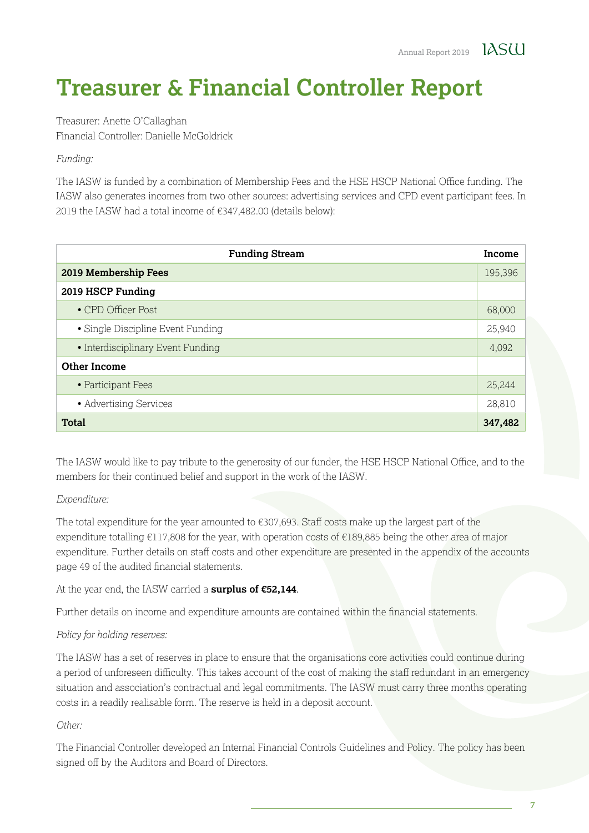# **Treasurer & Financial Controller Report**

Treasurer: Anette O'Callaghan Financial Controller: Danielle McGoldrick

#### *Funding:*

The IASW is funded by a combination of Membership Fees and the HSE HSCP National Office funding. The IASW also generates incomes from two other sources: advertising services and CPD event participant fees. In 2019 the IASW had a total income of €347,482.00 (details below):

| <b>Funding Stream</b>             | Income  |
|-----------------------------------|---------|
| 2019 Membership Fees              | 195,396 |
| 2019 HSCP Funding                 |         |
| • CPD Officer Post                | 68,000  |
| • Single Discipline Event Funding | 25,940  |
| • Interdisciplinary Event Funding | 4,092   |
| <b>Other Income</b>               |         |
| • Participant Fees                | 25,244  |
| • Advertising Services            | 28,810  |
| <b>Total</b>                      | 347,482 |

The IASW would like to pay tribute to the generosity of our funder, the HSE HSCP National Office, and to the members for their continued belief and support in the work of the IASW.

#### *Expenditure:*

The total expenditure for the year amounted to €307,693. Staff costs make up the largest part of the expenditure totalling €117,808 for the year, with operation costs of €189,885 being the other area of major expenditure. Further details on staff costs and other expenditure are presented in the appendix of the accounts page 49 of the audited financial statements.

At the year end, the IASW carried a **surplus of €52,144**.

Further details on income and expenditure amounts are contained within the financial statements.

#### *Policy for holding reserves:*

The IASW has a set of reserves in place to ensure that the organisations core activities could continue during a period of unforeseen difficulty. This takes account of the cost of making the staff redundant in an emergency situation and association's contractual and legal commitments. The IASW must carry three months operating costs in a readily realisable form. The reserve is held in a deposit account.

*Other:*

The Financial Controller developed an Internal Financial Controls Guidelines and Policy. The policy has been signed off by the Auditors and Board of Directors.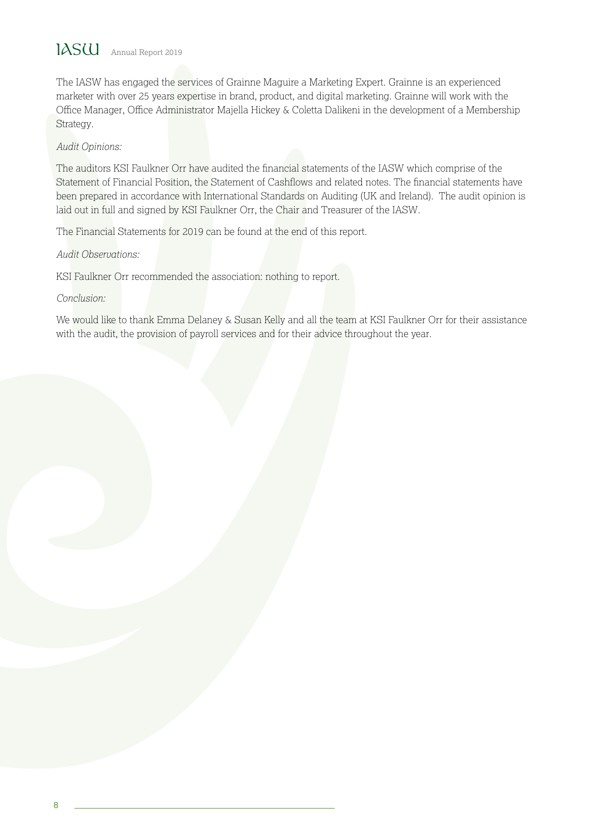### IASW Annual Report 2019

The IASW has engaged the services of Grainne Maguire a Marketing Expert. Grainne is an experienced marketer with over 25 years expertise in brand, product, and digital marketing. Grainne will work with the Office Manager, Office Administrator Majella Hickey & Coletta Dalikeni in the development of a Membership Strategy.

#### *Audit Opinions:*

The auditors KSI Faulkner Orr have audited the financial statements of the IASW which comprise of the Statement of Financial Position, the Statement of Cashflows and related notes. The financial statements have been prepared in accordance with International Standards on Auditing (UK and Ireland). The audit opinion is laid out in full and signed by KSI Faulkner Orr, the Chair and Treasurer of the IASW.

The Financial Statements for 2019 can be found at the end of this report.

#### *Audit Observations:*

KSI Faulkner Orr recommended the association: nothing to report.

#### *Conclusion:*

We would like to thank Emma Delaney & Susan Kelly and all the team at KSI Faulkner Orr for their assistance with the audit, the provision of payroll services and for their advice throughout the year.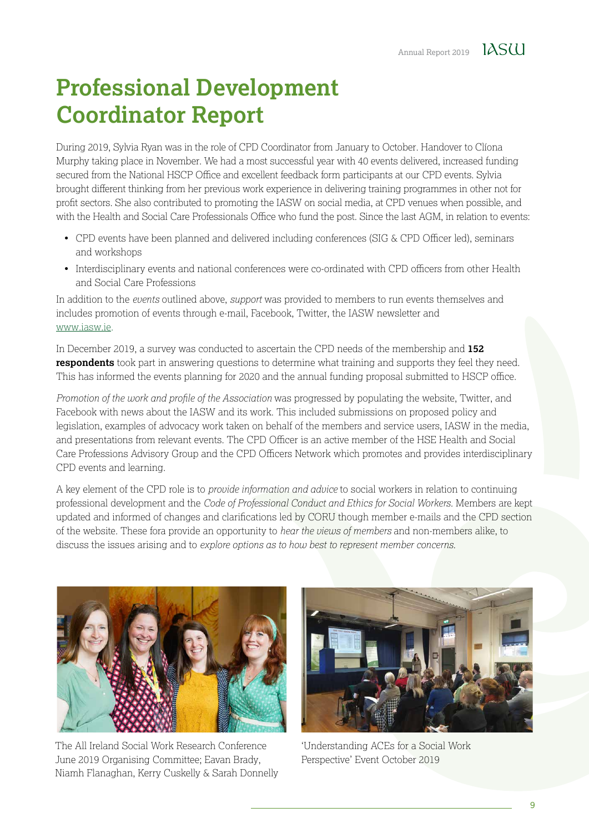# **Professional Development Coordinator Report**

During 2019, Sylvia Ryan was in the role of CPD Coordinator from January to October. Handover to Clíona Murphy taking place in November. We had a most successful year with 40 events delivered, increased funding secured from the National HSCP Office and excellent feedback form participants at our CPD events. Sylvia brought different thinking from her previous work experience in delivering training programmes in other not for profit sectors. She also contributed to promoting the IASW on social media, at CPD venues when possible, and with the Health and Social Care Professionals Office who fund the post. Since the last AGM, in relation to events:

- CPD events have been planned and delivered including conferences (SIG & CPD Officer led), seminars and workshops
- Interdisciplinary events and national conferences were co-ordinated with CPD officers from other Health and Social Care Professions

In addition to the *events* outlined above, *support* was provided to members to run events themselves and includes promotion of events through e-mail, Facebook, Twitter, the IASW newsletter and www.iasw.ie.

In December 2019, a survey was conducted to ascertain the CPD needs of the membership and **152 respondents** took part in answering questions to determine what training and supports they feel they need. This has informed the events planning for 2020 and the annual funding proposal submitted to HSCP office.

*Promotion of the work and profile of the Association* was progressed by populating the website, Twitter, and Facebook with news about the IASW and its work. This included submissions on proposed policy and legislation, examples of advocacy work taken on behalf of the members and service users, IASW in the media, and presentations from relevant events. The CPD Officer is an active member of the HSE Health and Social Care Professions Advisory Group and the CPD Officers Network which promotes and provides interdisciplinary CPD events and learning.

A key element of the CPD role is to *provide information and advice* to social workers in relation to continuing professional development and the *Code of Professional Conduct and Ethics for Social Workers.* Members are kept updated and informed of changes and clarifications led by CORU though member e-mails and the CPD section of the website. These fora provide an opportunity to *hear the views of members* and non-members alike, to discuss the issues arising and to *explore options as to how best to represent member concerns.*



The All Ireland Social Work Research Conference June 2019 Organising Committee; Eavan Brady, Niamh Flanaghan, Kerry Cuskelly & Sarah Donnelly



'Understanding ACEs for a Social Work Perspective' Event October 2019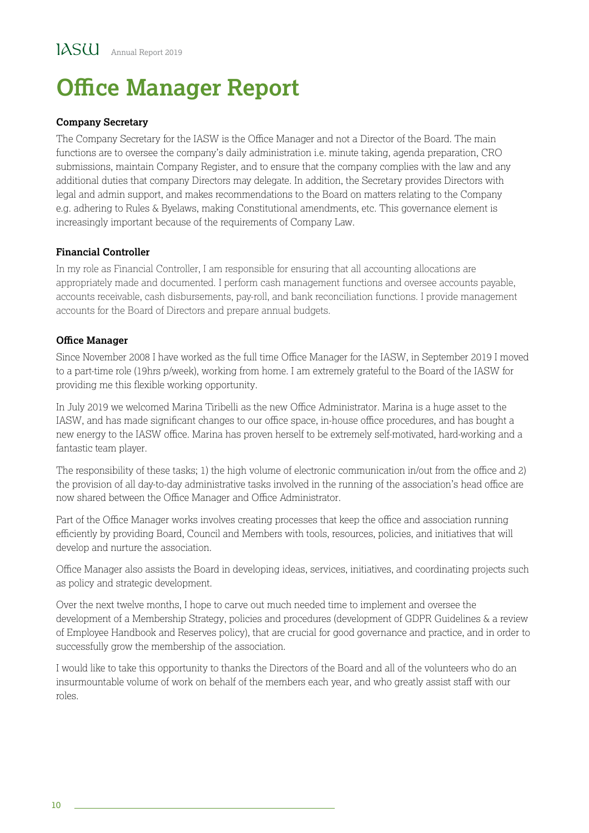# **Office Manager Report**

#### **Company Secretary**

The Company Secretary for the IASW is the Office Manager and not a Director of the Board. The main functions are to oversee the company's daily administration i.e. minute taking, agenda preparation, CRO submissions, maintain Company Register, and to ensure that the company complies with the law and any additional duties that company Directors may delegate. In addition, the Secretary provides Directors with legal and admin support, and makes recommendations to the Board on matters relating to the Company e.g. adhering to Rules & Byelaws, making Constitutional amendments, etc. This governance element is increasingly important because of the requirements of Company Law.

#### **Financial Controller**

In my role as Financial Controller, I am responsible for ensuring that all accounting allocations are appropriately made and documented. I perform cash management functions and oversee accounts payable, accounts receivable, cash disbursements, pay-roll, and bank reconciliation functions. I provide management accounts for the Board of Directors and prepare annual budgets.

#### **Office Manager**

Since November 2008 I have worked as the full time Office Manager for the IASW, in September 2019 I moved to a part-time role (19hrs p/week), working from home. I am extremely grateful to the Board of the IASW for providing me this flexible working opportunity.

In July 2019 we welcomed Marina Tiribelli as the new Office Administrator. Marina is a huge asset to the IASW, and has made significant changes to our office space, in-house office procedures, and has bought a new energy to the IASW office. Marina has proven herself to be extremely self-motivated, hard-working and a fantastic team player.

The responsibility of these tasks; 1) the high volume of electronic communication in/out from the office and 2) the provision of all day-to-day administrative tasks involved in the running of the association's head office are now shared between the Office Manager and Office Administrator.

Part of the Office Manager works involves creating processes that keep the office and association running efficiently by providing Board, Council and Members with tools, resources, policies, and initiatives that will develop and nurture the association.

Office Manager also assists the Board in developing ideas, services, initiatives, and coordinating projects such as policy and strategic development.

Over the next twelve months, I hope to carve out much needed time to implement and oversee the development of a Membership Strategy, policies and procedures (development of GDPR Guidelines & a review of Employee Handbook and Reserves policy), that are crucial for good governance and practice, and in order to successfully grow the membership of the association.

I would like to take this opportunity to thanks the Directors of the Board and all of the volunteers who do an insurmountable volume of work on behalf of the members each year, and who greatly assist staff with our roles.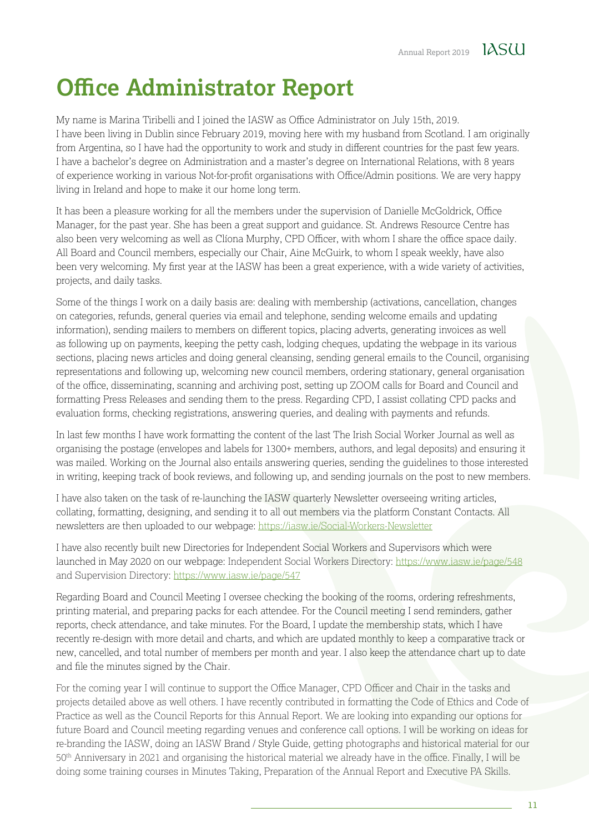# **Office Administrator Report**

My name is Marina Tiribelli and I joined the IASW as Office Administrator on July 15th, 2019. I have been living in Dublin since February 2019, moving here with my husband from Scotland. I am originally from Argentina, so I have had the opportunity to work and study in different countries for the past few years. I have a bachelor's degree on Administration and a master's degree on International Relations, with 8 years of experience working in various Not-for-profit organisations with Office/Admin positions. We are very happy living in Ireland and hope to make it our home long term.

It has been a pleasure working for all the members under the supervision of Danielle McGoldrick, Office Manager, for the past year. She has been a great support and guidance. St. Andrews Resource Centre has also been very welcoming as well as Clíona Murphy, CPD Officer, with whom I share the office space daily. All Board and Council members, especially our Chair, Aine McGuirk, to whom I speak weekly, have also been very welcoming. My first year at the IASW has been a great experience, with a wide variety of activities, projects, and daily tasks.

Some of the things I work on a daily basis are: dealing with membership (activations, cancellation, changes on categories, refunds, general queries via email and telephone, sending welcome emails and updating information), sending mailers to members on different topics, placing adverts, generating invoices as well as following up on payments, keeping the petty cash, lodging cheques, updating the webpage in its various sections, placing news articles and doing general cleansing, sending general emails to the Council, organising representations and following up, welcoming new council members, ordering stationary, general organisation of the office, disseminating, scanning and archiving post, setting up ZOOM calls for Board and Council and formatting Press Releases and sending them to the press. Regarding CPD, I assist collating CPD packs and evaluation forms, checking registrations, answering queries, and dealing with payments and refunds.

In last few months I have work formatting the content of the last The Irish Social Worker Journal as well as organising the postage (envelopes and labels for 1300+ members, authors, and legal deposits) and ensuring it was mailed. Working on the Journal also entails answering queries, sending the guidelines to those interested in writing, keeping track of book reviews, and following up, and sending journals on the post to new members.

I have also taken on the task of re-launching the IASW quarterly Newsletter overseeing writing articles, collating, formatting, designing, and sending it to all out members via the platform Constant Contacts. All newsletters are then uploaded to our webpage: https://iasw.ie/Social-Workers-Newsletter

I have also recently built new Directories for Independent Social Workers and Supervisors which were launched in May 2020 on our webpage: Independent Social Workers Directory: https://www.iasw.ie/page/548 and Supervision Directory: https://www.iasw.ie/page/547

Regarding Board and Council Meeting I oversee checking the booking of the rooms, ordering refreshments, printing material, and preparing packs for each attendee. For the Council meeting I send reminders, gather reports, check attendance, and take minutes. For the Board, I update the membership stats, which I have recently re-design with more detail and charts, and which are updated monthly to keep a comparative track or new, cancelled, and total number of members per month and year. I also keep the attendance chart up to date and file the minutes signed by the Chair.

For the coming year I will continue to support the Office Manager, CPD Officer and Chair in the tasks and projects detailed above as well others. I have recently contributed in formatting the Code of Ethics and Code of Practice as well as the Council Reports for this Annual Report. We are looking into expanding our options for future Board and Council meeting regarding venues and conference call options. I will be working on ideas for re-branding the IASW, doing an IASW Brand / Style Guide, getting photographs and historical material for our 50th Anniversary in 2021 and organising the historical material we already have in the office. Finally, I will be doing some training courses in Minutes Taking, Preparation of the Annual Report and Executive PA Skills.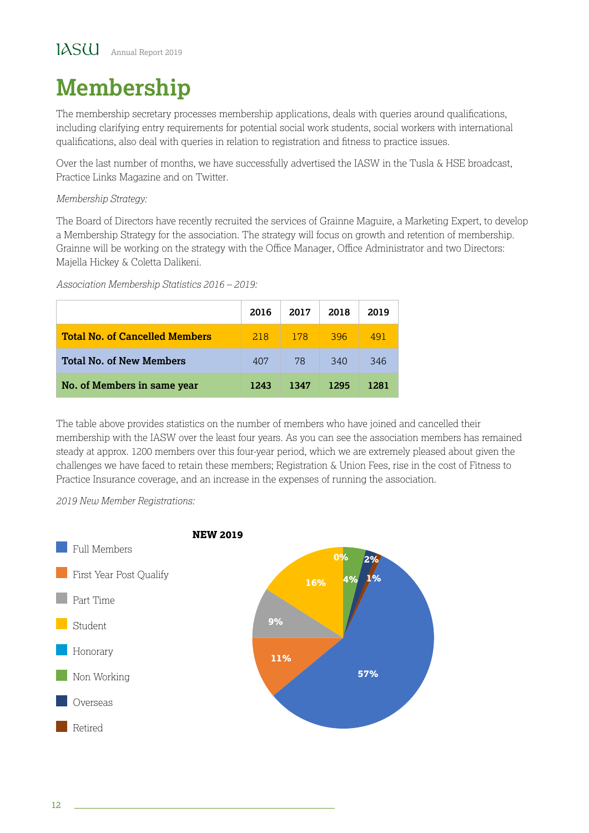# **Membership**

The membership secretary processes membership applications, deals with queries around qualifications, including clarifying entry requirements for potential social work students, social workers with international qualifications, also deal with queries in relation to registration and fitness to practice issues.

Over the last number of months, we have successfully advertised the IASW in the Tusla & HSE broadcast, Practice Links Magazine and on Twitter.

#### *Membership Strategy:*

The Board of Directors have recently recruited the services of Grainne Maguire, a Marketing Expert, to develop a Membership Strategy for the association. The strategy will focus on growth and retention of membership. Grainne will be working on the strategy with the Office Manager, Office Administrator and two Directors: Majella Hickey & Coletta Dalikeni.

*Association Membership Statistics 2016 – 2019:* 

|                                       | 2016 | 2017       | 2018 | 2019 |
|---------------------------------------|------|------------|------|------|
| <b>Total No. of Cancelled Members</b> | 218  | <b>178</b> | 396  | 491  |
| <b>Total No. of New Members</b>       | 407  | 78         | 340  | 346  |
| No. of Members in same year           | 1243 | 1347       | 1295 | 1281 |

The table above provides statistics on the number of members who have joined and cancelled their membership with the IASW over the least four years. As you can see the association members has remained steady at approx. 1200 members over this four-year period, which we are extremely pleased about given the challenges we have faced to retain these members; Registration & Union Fees, rise in the cost of Fitness to Practice Insurance coverage, and an increase in the expenses of running the association.

*2019 New Member Registrations:* 

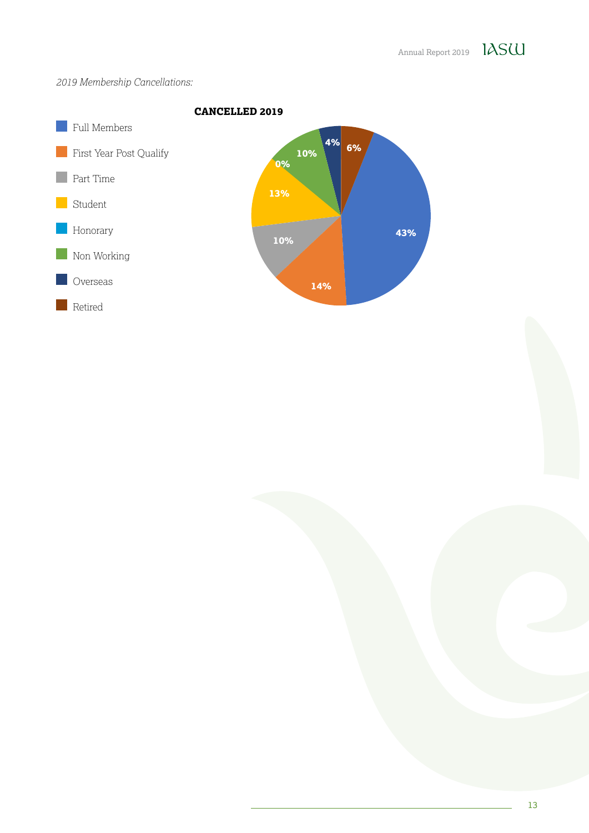#### *2019 Membership Cancellations:*

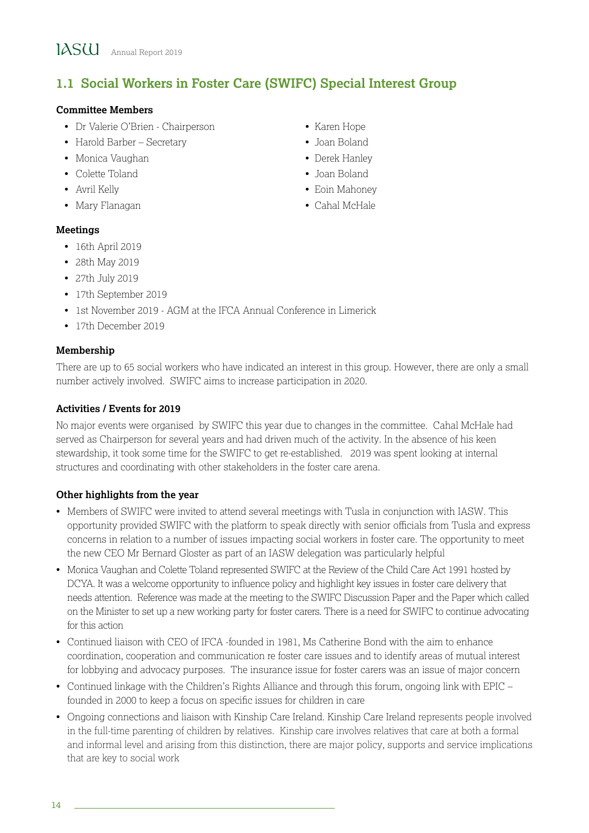### **1.1 Social Workers in Foster Care (SWIFC) Special Interest Group**

#### **Committee Members**

- Dr Valerie O'Brien Chairperson Karen Hope
- Harold Barber Secretary **•** Joan Boland
- Monica Vaughan  **Constanting Constanting Constanting Oriental Property** Perek Hanley
- Colette Toland Joan Boland
- 
- Mary Flanagan Cahal McHale

#### **Meetings**

- 16th April 2019
- 28th May 2019
- 27th July 2019
- 17th September 2019
- 1st November 2019 AGM at the IFCA Annual Conference in Limerick
- 17th December 2019

#### **Membership**

There are up to 65 social workers who have indicated an interest in this group. However, there are only a small number actively involved. SWIFC aims to increase participation in 2020.

#### **Activities / Events for 2019**

No major events were organised by SWIFC this year due to changes in the committee. Cahal McHale had served as Chairperson for several years and had driven much of the activity. In the absence of his keen stewardship, it took some time for the SWIFC to get re-established. 2019 was spent looking at internal structures and coordinating with other stakeholders in the foster care arena.

#### **Other highlights from the year**

- Members of SWIFC were invited to attend several meetings with Tusla in conjunction with IASW. This opportunity provided SWIFC with the platform to speak directly with senior officials from Tusla and express concerns in relation to a number of issues impacting social workers in foster care. The opportunity to meet the new CEO Mr Bernard Gloster as part of an IASW delegation was particularly helpful
- Monica Vaughan and Colette Toland represented SWIFC at the Review of the Child Care Act 1991 hosted by DCYA. It was a welcome opportunity to influence policy and highlight key issues in foster care delivery that needs attention. Reference was made at the meeting to the SWIFC Discussion Paper and the Paper which called on the Minister to set up a new working party for foster carers. There is a need for SWIFC to continue advocating for this action
- Continued liaison with CEO of IFCA -founded in 1981, Ms Catherine Bond with the aim to enhance coordination, cooperation and communication re foster care issues and to identify areas of mutual interest for lobbying and advocacy purposes. The insurance issue for foster carers was an issue of major concern
- Continued linkage with the Children's Rights Alliance and through this forum, ongoing link with EPIC founded in 2000 to keep a focus on specific issues for children in care
- Ongoing connections and liaison with Kinship Care Ireland. Kinship Care Ireland represents people involved in the full-time parenting of children by relatives. Kinship care involves relatives that care at both a formal and informal level and arising from this distinction, there are major policy, supports and service implications that are key to social work
- 
- 
- 
- 
- Avril Kelly **Communist Communist Communist Communist Communist Communist Communist Communist Communist Communist Communist Communist Communist Communist Communist Communist Communist Communist Communist Communist Communi** 
	-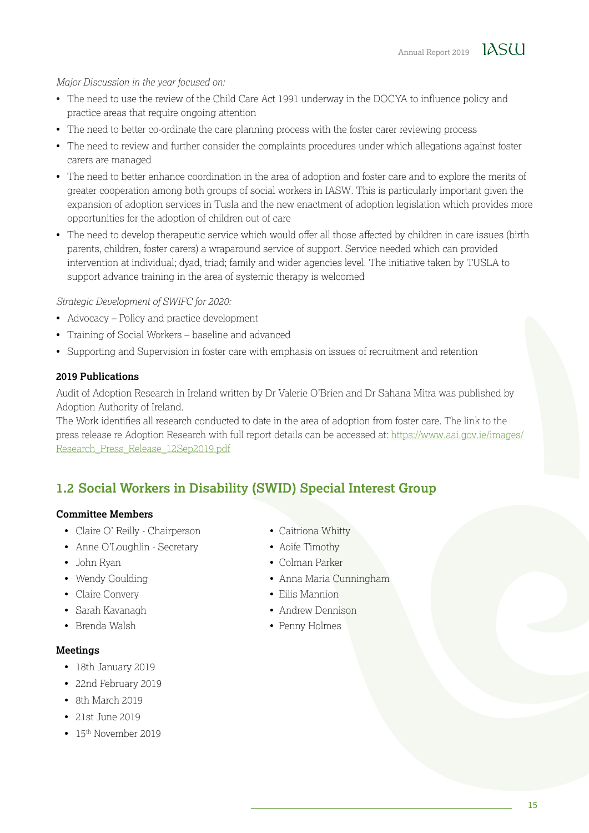#### *Major Discussion in the year focused on:*

- The need to use the review of the Child Care Act 1991 underway in the DOCYA to influence policy and practice areas that require ongoing attention
- The need to better co-ordinate the care planning process with the foster carer reviewing process
- The need to review and further consider the complaints procedures under which allegations against foster carers are managed
- The need to better enhance coordination in the area of adoption and foster care and to explore the merits of greater cooperation among both groups of social workers in IASW. This is particularly important given the expansion of adoption services in Tusla and the new enactment of adoption legislation which provides more opportunities for the adoption of children out of care
- The need to develop therapeutic service which would offer all those affected by children in care issues (birth parents, children, foster carers) a wraparound service of support. Service needed which can provided intervention at individual; dyad, triad; family and wider agencies level. The initiative taken by TUSLA to support advance training in the area of systemic therapy is welcomed

#### *Strategic Development of SWIFC for 2020:*

- Advocacy Policy and practice development
- Training of Social Workers baseline and advanced
- Supporting and Supervision in foster care with emphasis on issues of recruitment and retention

#### **2019 Publications**

Audit of Adoption Research in Ireland written by Dr Valerie O'Brien and Dr Sahana Mitra was published by Adoption Authority of Ireland.

The Work identifies all research conducted to date in the area of adoption from foster care. The link to the press release re Adoption Research with full report details can be accessed at: https://www.aai.gov.ie/images/ Research\_Press\_Release\_12Sep2019.pdf

### **1.2 Social Workers in Disability (SWID) Special Interest Group**

#### **Committee Members**

- Claire O' Reilly Chairperson Caitriona Whitty
- Anne O'Loughlin Secretary Aoife Timothy
- 
- 
- Claire Convery  **Claire Convery**
- 
- Brenda Walsh Penny Holmes

#### **Meetings**

- 18th January 2019
- 22nd February 2019
- 8th March 2019
- 21st June 2019
- 15<sup>th</sup> November 2019
- 
- 
- John Ryan Colman Parker
- Wendy Goulding  **Anna Maria Cunningham** 
	-
- Sarah Kavanagh Andrew Dennison
	-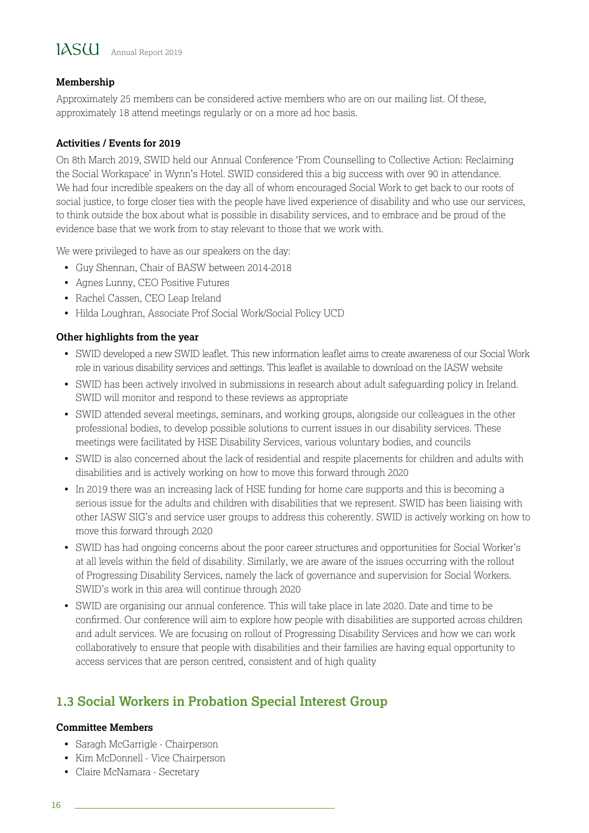### $l$ AS( $l$ ] Annual Report 2019

#### **Membership**

Approximately 25 members can be considered active members who are on our mailing list. Of these, approximately 18 attend meetings regularly or on a more ad hoc basis.

#### **Activities / Events for 2019**

On 8th March 2019, SWID held our Annual Conference 'From Counselling to Collective Action: Reclaiming the Social Workspace' in Wynn's Hotel. SWID considered this a big success with over 90 in attendance. We had four incredible speakers on the day all of whom encouraged Social Work to get back to our roots of social justice, to forge closer ties with the people have lived experience of disability and who use our services, to think outside the box about what is possible in disability services, and to embrace and be proud of the evidence base that we work from to stay relevant to those that we work with.

We were privileged to have as our speakers on the day:

- Guy Shennan, Chair of BASW between 2014-2018
- Agnes Lunny, CEO Positive Futures
- Rachel Cassen, CEO Leap Ireland
- Hilda Loughran, Associate Prof Social Work/Social Policy UCD

#### **Other highlights from the year**

- SWID developed a new SWID leaflet. This new information leaflet aims to create awareness of our Social Work role in various disability services and settings. This leaflet is available to download on the IASW website
- SWID has been actively involved in submissions in research about adult safeguarding policy in Ireland. SWID will monitor and respond to these reviews as appropriate
- SWID attended several meetings, seminars, and working groups, alongside our colleagues in the other professional bodies, to develop possible solutions to current issues in our disability services. These meetings were facilitated by HSE Disability Services, various voluntary bodies, and councils
- SWID is also concerned about the lack of residential and respite placements for children and adults with disabilities and is actively working on how to move this forward through 2020
- In 2019 there was an increasing lack of HSE funding for home care supports and this is becoming a serious issue for the adults and children with disabilities that we represent. SWID has been liaising with other IASW SIG's and service user groups to address this coherently. SWID is actively working on how to move this forward through 2020
- SWID has had ongoing concerns about the poor career structures and opportunities for Social Worker's at all levels within the field of disability. Similarly, we are aware of the issues occurring with the rollout of Progressing Disability Services, namely the lack of governance and supervision for Social Workers. SWID's work in this area will continue through 2020
- SWID are organising our annual conference. This will take place in late 2020. Date and time to be confirmed. Our conference will aim to explore how people with disabilities are supported across children and adult services. We are focusing on rollout of Progressing Disability Services and how we can work collaboratively to ensure that people with disabilities and their families are having equal opportunity to access services that are person centred, consistent and of high quality

### **1.3 Social Workers in Probation Special Interest Group**

#### **Committee Members**

- Saragh McGarrigle Chairperson
- Kim McDonnell Vice Chairperson
- Claire McNamara Secretary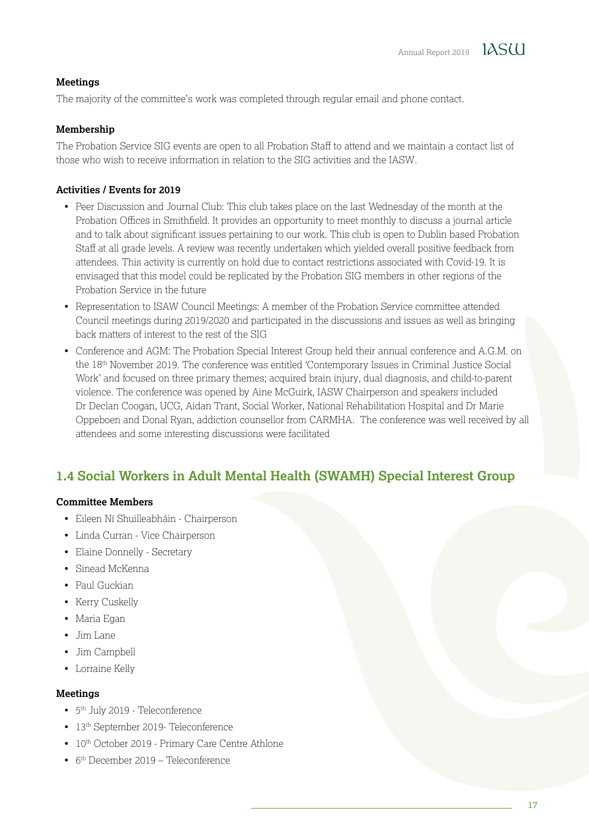#### **Meetings**

The majority of the committee's work was completed through regular email and phone contact.

#### **Membership**

The Probation Service SIG events are open to all Probation Staff to attend and we maintain a contact list of those who wish to receive information in relation to the SIG activities and the IASW.

#### **Activities / Events for 2019**

- Peer Discussion and Journal Club: This club takes place on the last Wednesday of the month at the Probation Offices in Smithfield. It provides an opportunity to meet monthly to discuss a journal article and to talk about significant issues pertaining to our work. This club is open to Dublin based Probation Staff at all grade levels. A review was recently undertaken which yielded overall positive feedback from attendees. This activity is currently on hold due to contact restrictions associated with Covid-19. It is envisaged that this model could be replicated by the Probation SIG members in other regions of the Probation Service in the future
- Representation to ISAW Council Meetings: A member of the Probation Service committee attended Council meetings during 2019/2020 and participated in the discussions and issues as well as bringing back matters of interest to the rest of the SIG
- Conference and AGM: The Probation Special Interest Group held their annual conference and A.G.M. on the 18th November 2019. The conference was entitled 'Contemporary Issues in Criminal Justice Social Work' and focused on three primary themes; acquired brain injury, dual diagnosis, and child-to-parent violence. The conference was opened by Aine McGuirk, IASW Chairperson and speakers included Dr Declan Coogan, UCG, Aidan Trant, Social Worker, National Rehabilitation Hospital and Dr Marie Oppeboen and Donal Ryan, addiction counsellor from CARMHA. The conference was well received by all attendees and some interesting discussions were facilitated

#### **1.4 Social Workers in Adult Mental Health (SWAMH) Special Interest Group**

#### **Committee Members**

- Eileen Ní Shuilleabháin Chairperson
- Linda Curran Vice Chairperson
- Elaine Donnelly Secretary
- Sinead McKenna
- Paul Guckian
- Kerry Cuskelly
- Maria Egan
- Jim Lane
- Jim Campbell
- Lorraine Kelly

#### **Meetings**

- 5th July 2019 Teleconference
- 13<sup>th</sup> September 2019- Teleconference
- 10<sup>th</sup> October 2019 Primary Care Centre Athlone
- 6<sup>th</sup> December 2019 Teleconference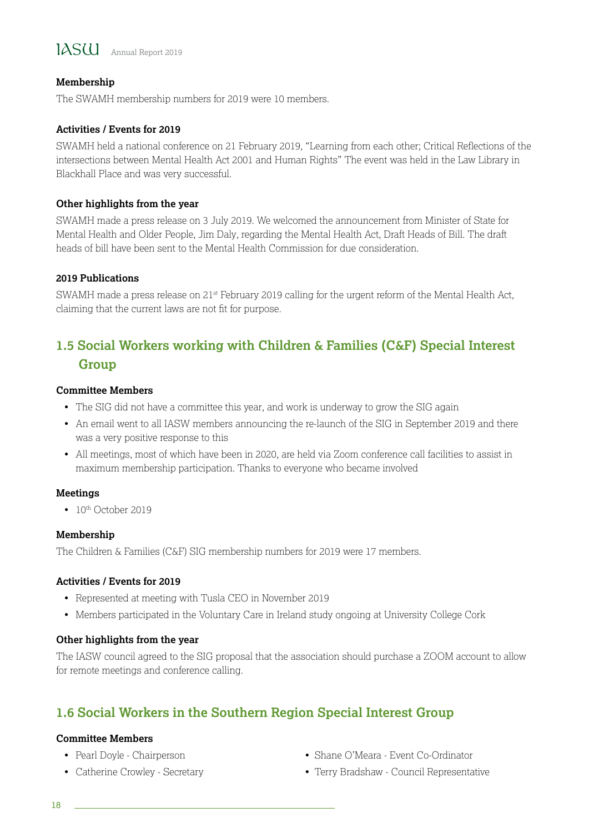

#### **Membership**

The SWAMH membership numbers for 2019 were 10 members.

#### **Activities / Events for 2019**

SWAMH held a national conference on 21 February 2019, "Learning from each other; Critical Reflections of the intersections between Mental Health Act 2001 and Human Rights" The event was held in the Law Library in Blackhall Place and was very successful.

#### **Other highlights from the year**

SWAMH made a press release on 3 July 2019. We welcomed the announcement from Minister of State for Mental Health and Older People, Jim Daly, regarding the Mental Health Act, Draft Heads of Bill. The draft heads of bill have been sent to the Mental Health Commission for due consideration.

#### **2019 Publications**

SWAMH made a press release on 21<sup>st</sup> February 2019 calling for the urgent reform of the Mental Health Act, claiming that the current laws are not fit for purpose.

### **1.5 Social Workers working with Children & Families (C&F) Special Interest Group**

#### **Committee Members**

- The SIG did not have a committee this year, and work is underway to grow the SIG again
- An email went to all IASW members announcing the re-launch of the SIG in September 2019 and there was a very positive response to this
- All meetings, most of which have been in 2020, are held via Zoom conference call facilities to assist in maximum membership participation. Thanks to everyone who became involved

#### **Meetings**

• 10<sup>th</sup> October 2019

#### **Membership**

The Children & Families (C&F) SIG membership numbers for 2019 were 17 members.

#### **Activities / Events for 2019**

- Represented at meeting with Tusla CEO in November 2019
- Members participated in the Voluntary Care in Ireland study ongoing at University College Cork

#### **Other highlights from the year**

The IASW council agreed to the SIG proposal that the association should purchase a ZOOM account to allow for remote meetings and conference calling.

#### **1.6 Social Workers in the Southern Region Special Interest Group**

#### **Committee Members**

- 
- 
- Pearl Doyle Chairperson  **Shane O'Meara Event Co-Ordinator** Shane O'Meara Event Co-Ordinator
- Catherine Crowley Secretary Terry Bradshaw Council Representative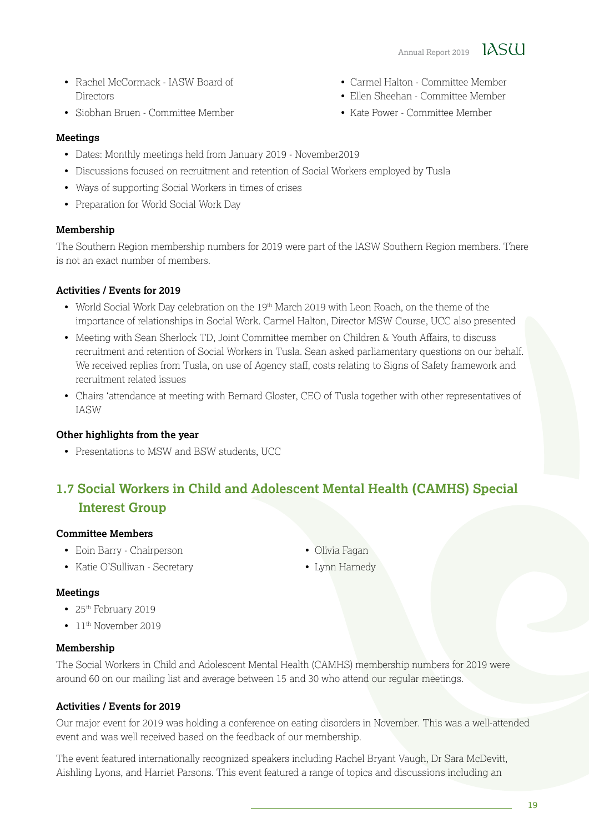

- Rachel McCormack IASW Board of  $\bullet$  Carmel Halton Committee Member Directors **and a structure of the Committee Member • Ellen Sheehan - Committee Member**
- Siobhan Bruen Committee Member Kate Power Committee Member

#### **Meetings**

- Dates: Monthly meetings held from January 2019 November2019
- Discussions focused on recruitment and retention of Social Workers employed by Tusla
- Ways of supporting Social Workers in times of crises
- Preparation for World Social Work Day

#### **Membership**

The Southern Region membership numbers for 2019 were part of the IASW Southern Region members. There is not an exact number of members.

#### **Activities / Events for 2019**

- World Social Work Day celebration on the 19th March 2019 with Leon Roach, on the theme of the importance of relationships in Social Work. Carmel Halton, Director MSW Course, UCC also presented
- Meeting with Sean Sherlock TD, Joint Committee member on Children & Youth Affairs, to discuss recruitment and retention of Social Workers in Tusla. Sean asked parliamentary questions on our behalf. We received replies from Tusla, on use of Agency staff, costs relating to Signs of Safety framework and recruitment related issues
- Chairs 'attendance at meeting with Bernard Gloster, CEO of Tusla together with other representatives of IASW

#### **Other highlights from the year**

• Presentations to MSW and BSW students, UCC

### **1.7 Social Workers in Child and Adolescent Mental Health (CAMHS) Special Interest Group**

#### **Committee Members**

- Eoin Barry Chairperson Olivia Fagan
- Katie O'Sullivan Secretary  **Lynn Harnedy**
- -

#### **Meetings**

- 25<sup>th</sup> February 2019
- 11<sup>th</sup> November 2019

#### **Membership**

The Social Workers in Child and Adolescent Mental Health (CAMHS) membership numbers for 2019 were around 60 on our mailing list and average between 15 and 30 who attend our regular meetings.

#### **Activities / Events for 2019**

Our major event for 2019 was holding a conference on eating disorders in November. This was a well-attended event and was well received based on the feedback of our membership.

The event featured internationally recognized speakers including Rachel Bryant Vaugh, Dr Sara McDevitt, Aishling Lyons, and Harriet Parsons. This event featured a range of topics and discussions including an

- 
- 
-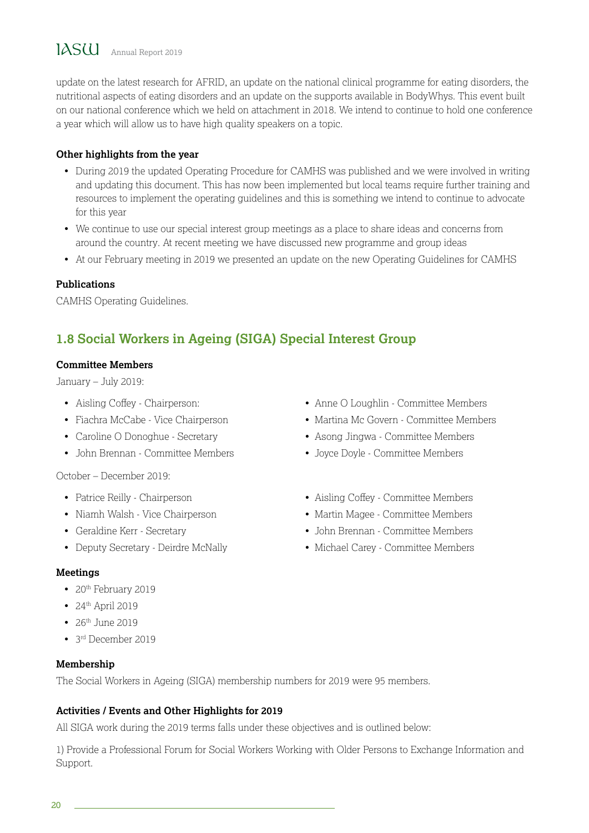### $l$ AS( $l$ ] Annual Report 2019

update on the latest research for AFRID, an update on the national clinical programme for eating disorders, the nutritional aspects of eating disorders and an update on the supports available in BodyWhys. This event built on our national conference which we held on attachment in 2018. We intend to continue to hold one conference a year which will allow us to have high quality speakers on a topic.

#### **Other highlights from the year**

- During 2019 the updated Operating Procedure for CAMHS was published and we were involved in writing and updating this document. This has now been implemented but local teams require further training and resources to implement the operating guidelines and this is something we intend to continue to advocate for this year
- We continue to use our special interest group meetings as a place to share ideas and concerns from around the country. At recent meeting we have discussed new programme and group ideas
- At our February meeting in 2019 we presented an update on the new Operating Guidelines for CAMHS

#### **Publications**

CAMHS Operating Guidelines.

### **1.8 Social Workers in Ageing (SIGA) Special Interest Group**

#### **Committee Members**

January – July 2019:

- 
- 
- 
- John Brennan Committee Members Joyce Doyle Committee Members

October – December 2019:

- 
- 
- 
- 

#### **Meetings**

- 20<sup>th</sup> February 2019
- $\bullet$  24<sup>th</sup> April 2019
- 26<sup>th</sup> June 2019
- 3rd December 2019

#### **Membership**

The Social Workers in Ageing (SIGA) membership numbers for 2019 were 95 members.

#### **Activities / Events and Other Highlights for 2019**

All SIGA work during the 2019 terms falls under these objectives and is outlined below:

1) Provide a Professional Forum for Social Workers Working with Older Persons to Exchange Information and Support.

- Aisling Coffey Chairperson: <br>• Anne O Loughlin Committee Members
- Fiachra McCabe Vice Chairperson Martina Mc Govern Committee Members
- Caroline O Donoghue Secretary **•** Asong Jingwa Committee Members
	-
- Patrice Reilly Chairperson Aisling Coffey Committee Members
- Niamh Walsh Vice Chairperson Martin Magee Committee Members
- Geraldine Kerr Secretary *Secretary*  **John Brennan Committee Members**
- Deputy Secretary Deirdre McNally  **Michael Carey Committee Members**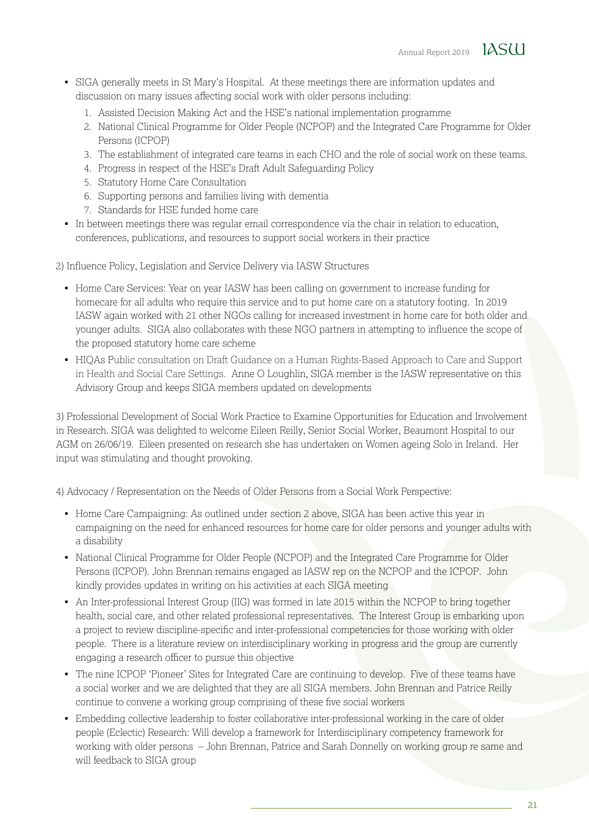- SIGA generally meets in St Mary's Hospital. At these meetings there are information updates and discussion on many issues affecting social work with older persons including:
	- 1. Assisted Decision Making Act and the HSE's national implementation programme
	- 2. National Clinical Programme for Older People (NCPOP) and the Integrated Care Programme for Older Persons (ICPOP)
	- 3. The establishment of integrated care teams in each CHO and the role of social work on these teams.
	- 4. Progress in respect of the HSE's Draft Adult Safeguarding Policy
	- 5. Statutory Home Care Consultation
	- 6. Supporting persons and families living with dementia
	- 7. Standards for HSE funded home care
- In between meetings there was regular email correspondence via the chair in relation to education, conferences, publications, and resources to support social workers in their practice

2) Influence Policy, Legislation and Service Delivery via IASW Structures

- Home Care Services: Year on year IASW has been calling on government to increase funding for homecare for all adults who require this service and to put home care on a statutory footing. In 2019 IASW again worked with 21 other NGOs calling for increased investment in home care for both older and younger adults. SIGA also collaborates with these NGO partners in attempting to influence the scope of the proposed statutory home care scheme
- HIQAs Public consultation on Draft Guidance on a Human Rights-Based Approach to Care and Support in Health and Social Care Settings. Anne O Loughlin, SIGA member is the IASW representative on this Advisory Group and keeps SIGA members updated on developments

3) Professional Development of Social Work Practice to Examine Opportunities for Education and Involvement in Research. SIGA was delighted to welcome Eileen Reilly, Senior Social Worker, Beaumont Hospital to our AGM on 26/06/19. Eileen presented on research she has undertaken on Women ageing Solo in Ireland. Her input was stimulating and thought provoking.

4) Advocacy / Representation on the Needs of Older Persons from a Social Work Perspective:

- Home Care Campaigning: As outlined under section 2 above, SIGA has been active this year in campaigning on the need for enhanced resources for home care for older persons and younger adults with a disability
- National Clinical Programme for Older People (NCPOP) and the Integrated Care Programme for Older Persons (ICPOP). John Brennan remains engaged as IASW rep on the NCPOP and the ICPOP. John kindly provides updates in writing on his activities at each SIGA meeting
- An Inter-professional Interest Group (IIG) was formed in late 2015 within the NCPOP to bring together health, social care, and other related professional representatives. The Interest Group is embarking upon a project to review discipline-specific and inter-professional competencies for those working with older people. There is a literature review on interdisciplinary working in progress and the group are currently engaging a research officer to pursue this objective
- The nine ICPOP 'Pioneer' Sites for Integrated Care are continuing to develop. Five of these teams have a social worker and we are delighted that they are all SIGA members. John Brennan and Patrice Reilly continue to convene a working group comprising of these five social workers
- Embedding collective leadership to foster collaborative inter-professional working in the care of older people (Eclectic) Research: Will develop a framework for Interdisciplinary competency framework for working with older persons – John Brennan, Patrice and Sarah Donnelly on working group re same and will feedback to SIGA group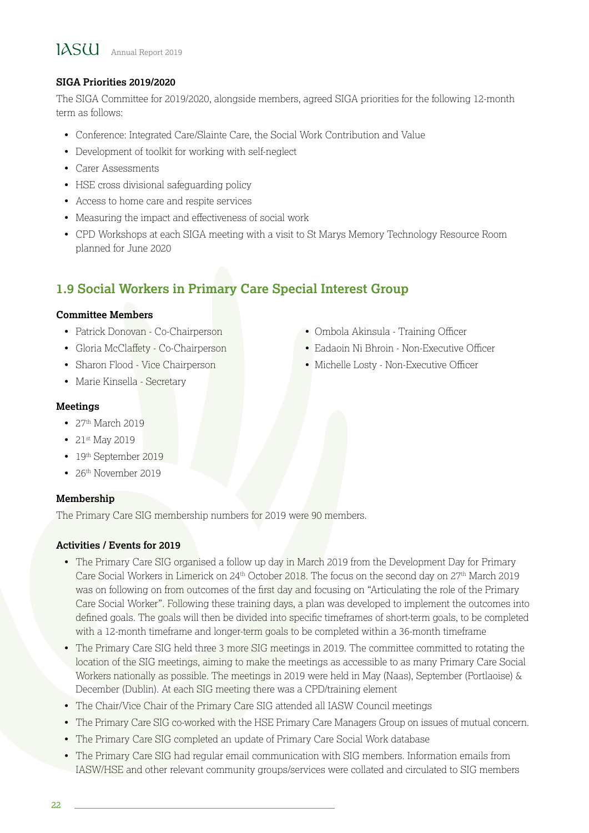### $l$ AS( $U$  Annual Report 2019

#### **SIGA Priorities 2019/2020**

The SIGA Committee for 2019/2020, alongside members, agreed SIGA priorities for the following 12-month term as follows:

- Conference: Integrated Care/Slainte Care, the Social Work Contribution and Value
- Development of toolkit for working with self-neglect
- Carer Assessments
- HSE cross divisional safeguarding policy
- Access to home care and respite services
- Measuring the impact and effectiveness of social work
- CPD Workshops at each SIGA meeting with a visit to St Marys Memory Technology Resource Room planned for June 2020

### **1.9 Social Workers in Primary Care Special Interest Group**

#### **Committee Members**

- 
- 
- 
- Marie Kinsella Secretary

#### **Meetings**

- $\bullet$  27<sup>th</sup> March 2019
- 21st May 2019
- 19th September 2019
- 26<sup>th</sup> November 2019

#### **Membership**

The Primary Care SIG membership numbers for 2019 were 90 members.

#### **Activities / Events for 2019**

- The Primary Care SIG organised a follow up day in March 2019 from the Development Day for Primary Care Social Workers in Limerick on 24<sup>th</sup> October 2018. The focus on the second day on 27<sup>th</sup> March 2019 was on following on from outcomes of the first day and focusing on "Articulating the role of the Primary Care Social Worker". Following these training days, a plan was developed to implement the outcomes into defined goals. The goals will then be divided into specific timeframes of short-term goals, to be completed with a 12-month timeframe and longer-term goals to be completed within a 36-month timeframe
- The Primary Care SIG held three 3 more SIG meetings in 2019. The committee committed to rotating the location of the SIG meetings, aiming to make the meetings as accessible to as many Primary Care Social Workers nationally as possible. The meetings in 2019 were held in May (Naas), September (Portlaoise) & December (Dublin). At each SIG meeting there was a CPD/training element
- The Chair/Vice Chair of the Primary Care SIG attended all IASW Council meetings
- The Primary Care SIG co-worked with the HSE Primary Care Managers Group on issues of mutual concern.
- The Primary Care SIG completed an update of Primary Care Social Work database
- The Primary Care SIG had regular email communication with SIG members. Information emails from IASW/HSE and other relevant community groups/services were collated and circulated to SIG members
- Patrick Donovan Co-Chairperson Ombola Akinsula Training Officer
- Gloria McClaffety Co-Chairperson Eadaoin Ni Bhroin Non-Executive Officer
- Sharon Flood Vice Chairperson Michelle Losty Non-Executive Officer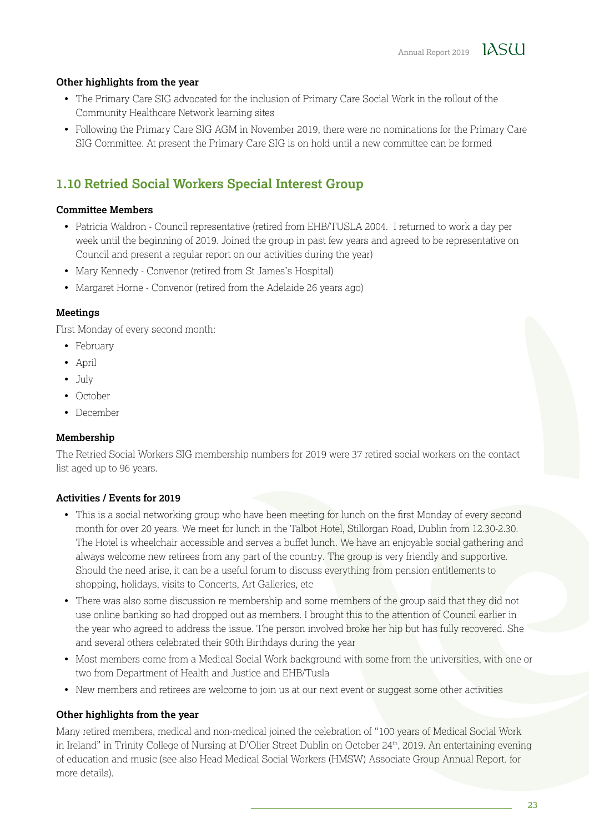#### **Other highlights from the year**

- The Primary Care SIG advocated for the inclusion of Primary Care Social Work in the rollout of the Community Healthcare Network learning sites
- Following the Primary Care SIG AGM in November 2019, there were no nominations for the Primary Care SIG Committee. At present the Primary Care SIG is on hold until a new committee can be formed

### **1.10 Retried Social Workers Special Interest Group**

#### **Committee Members**

- Patricia Waldron Council representative (retired from EHB/TUSLA 2004. I returned to work a day per week until the beginning of 2019. Joined the group in past few years and agreed to be representative on Council and present a regular report on our activities during the year)
- Mary Kennedy Convenor (retired from St James's Hospital)
- Margaret Horne Convenor (retired from the Adelaide 26 years ago)

#### **Meetings**

First Monday of every second month:

- February
- April
- July
- October
- December

#### **Membership**

The Retried Social Workers SIG membership numbers for 2019 were 37 retired social workers on the contact list aged up to 96 years.

#### **Activities / Events for 2019**

- This is a social networking group who have been meeting for lunch on the first Monday of every second month for over 20 years. We meet for lunch in the Talbot Hotel, Stillorgan Road, Dublin from 12.30-2.30. The Hotel is wheelchair accessible and serves a buffet lunch. We have an enjoyable social gathering and always welcome new retirees from any part of the country. The group is very friendly and supportive. Should the need arise, it can be a useful forum to discuss everything from pension entitlements to shopping, holidays, visits to Concerts, Art Galleries, etc
- There was also some discussion re membership and some members of the group said that they did not use online banking so had dropped out as members. I brought this to the attention of Council earlier in the year who agreed to address the issue. The person involved broke her hip but has fully recovered. She and several others celebrated their 90th Birthdays during the year
- Most members come from a Medical Social Work background with some from the universities, with one or two from Department of Health and Justice and EHB/Tusla
- New members and retirees are welcome to join us at our next event or suggest some other activities

#### **Other highlights from the year**

Many retired members, medical and non-medical joined the celebration of "100 years of Medical Social Work in Ireland" in Trinity College of Nursing at D'Olier Street Dublin on October 24th, 2019. An entertaining evening of education and music (see also Head Medical Social Workers (HMSW) Associate Group Annual Report. for more details).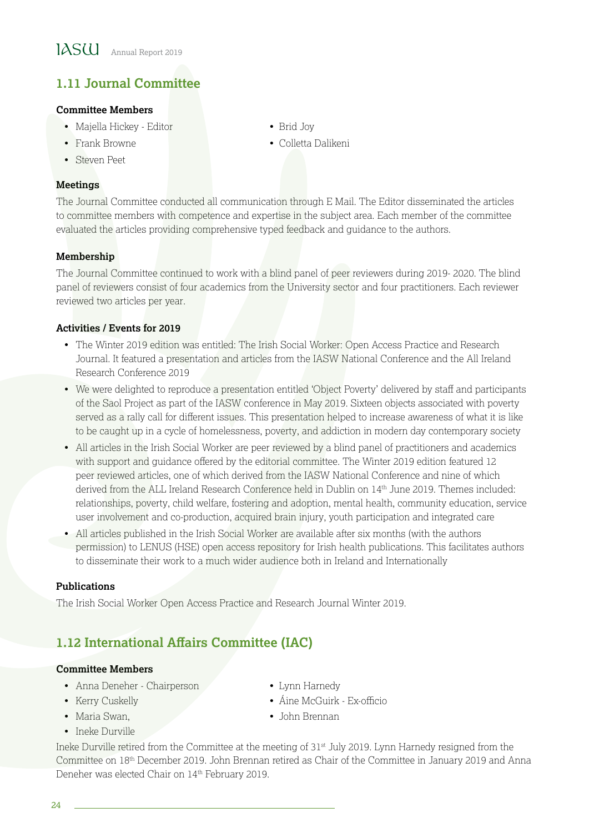### **1.11 Journal Committee**

#### **Committee Members**

- Majella Hickey Editor  **Brid Joy**
- 
- Steven Peet

#### **Meetings**

The Journal Committee conducted all communication through E Mail. The Editor disseminated the articles to committee members with competence and expertise in the subject area. Each member of the committee evaluated the articles providing comprehensive typed feedback and guidance to the authors.

#### **Membership**

The Journal Committee continued to work with a blind panel of peer reviewers during 2019- 2020. The blind panel of reviewers consist of four academics from the University sector and four practitioners. Each reviewer reviewed two articles per year.

#### **Activities / Events for 2019**

- The Winter 2019 edition was entitled: The Irish Social Worker: Open Access Practice and Research Journal. It featured a presentation and articles from the IASW National Conference and the All Ireland Research Conference 2019
- We were delighted to reproduce a presentation entitled 'Object Poverty' delivered by staff and participants of the Saol Project as part of the IASW conference in May 2019. Sixteen objects associated with poverty served as a rally call for different issues. This presentation helped to increase awareness of what it is like to be caught up in a cycle of homelessness, poverty, and addiction in modern day contemporary society
- All articles in the Irish Social Worker are peer reviewed by a blind panel of practitioners and academics with support and guidance offered by the editorial committee. The Winter 2019 edition featured 12 peer reviewed articles, one of which derived from the IASW National Conference and nine of which derived from the ALL Ireland Research Conference held in Dublin on 14th June 2019. Themes included: relationships, poverty, child welfare, fostering and adoption, mental health, community education, service user involvement and co-production, acquired brain injury, youth participation and integrated care
- All articles published in the Irish Social Worker are available after six months (with the authors permission) to LENUS (HSE) open access repository for Irish health publications. This facilitates authors to disseminate their work to a much wider audience both in Ireland and Internationally

#### **Publications**

The Irish Social Worker Open Access Practice and Research Journal Winter 2019.

### **1.12 International Affairs Committee (IAC)**

#### **Committee Members**

- Anna Deneher Chairperson Lynn Harnedy
- 
- Maria Swan,  **Communistance Communist Communist Communist Communist Communist Communist Communist Communist Communist Communist Communist Communist Communist Communist Communist Communist Communist Communist Communist C**
- 
- Kerry Cuskelly  **Aine McGuirk Ex-officio** 
	-

• Ineke Durville

Ineke Durville retired from the Committee at the meeting of 31st July 2019. Lynn Harnedy resigned from the Committee on 18th December 2019. John Brennan retired as Chair of the Committee in January 2019 and Anna Deneher was elected Chair on 14<sup>th</sup> February 2019.

- 
- Frank Browne Colletta Dalikeni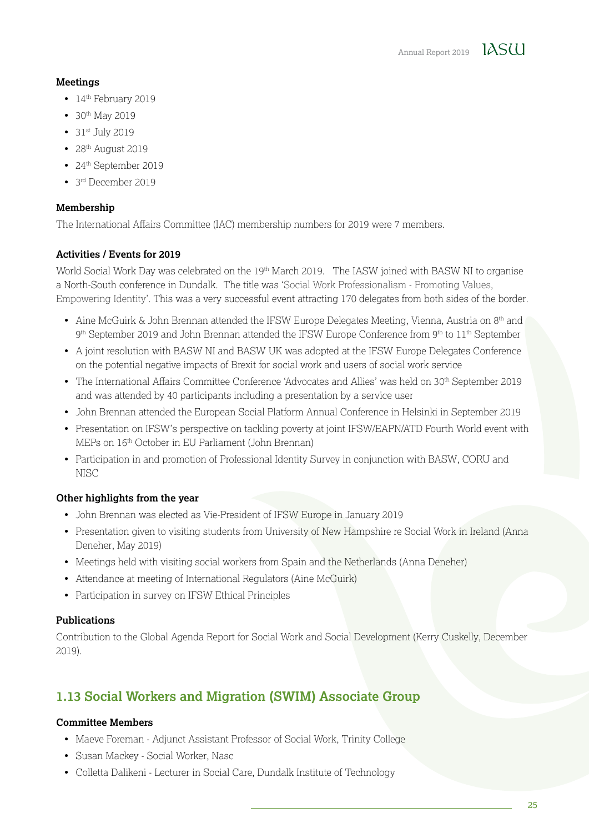#### **Meetings**

- $14^{\text{th}}$  February 2019
- 30<sup>th</sup> May 2019
- 31st July 2019
- $\bullet$  28<sup>th</sup> August 2019
- 24<sup>th</sup> September 2019
- 3rd December 2019

#### **Membership**

The International Affairs Committee (IAC) membership numbers for 2019 were 7 members.

#### **Activities / Events for 2019**

World Social Work Day was celebrated on the 19<sup>th</sup> March 2019. The IASW joined with BASW NI to organise a North-South conference in Dundalk. The title was 'Social Work Professionalism - Promoting Values, Empowering Identity'. This was a very successful event attracting 170 delegates from both sides of the border.

- Aine McGuirk & John Brennan attended the IFSW Europe Delegates Meeting, Vienna, Austria on 8<sup>th</sup> and 9th September 2019 and John Brennan attended the IFSW Europe Conference from 9th to 11th September
- A joint resolution with BASW NI and BASW UK was adopted at the IFSW Europe Delegates Conference on the potential negative impacts of Brexit for social work and users of social work service
- The International Affairs Committee Conference 'Advocates and Allies' was held on 30<sup>th</sup> September 2019 and was attended by 40 participants including a presentation by a service user
- John Brennan attended the European Social Platform Annual Conference in Helsinki in September 2019
- Presentation on IFSW's perspective on tackling poverty at joint IFSW/EAPN/ATD Fourth World event with MEPs on 16th October in EU Parliament (John Brennan)
- Participation in and promotion of Professional Identity Survey in conjunction with BASW, CORU and NISC

#### **Other highlights from the year**

- John Brennan was elected as Vie-President of IFSW Europe in January 2019
- Presentation given to visiting students from University of New Hampshire re Social Work in Ireland (Anna Deneher, May 2019)
- Meetings held with visiting social workers from Spain and the Netherlands (Anna Deneher)
- Attendance at meeting of International Regulators (Aine McGuirk)
- Participation in survey on IFSW Ethical Principles

#### **Publications**

Contribution to the Global Agenda Report for Social Work and Social Development (Kerry Cuskelly, December 2019).

### **1.13 Social Workers and Migration (SWIM) Associate Group**

#### **Committee Members**

- Maeve Foreman Adjunct Assistant Professor of Social Work, Trinity College
- Susan Mackey Social Worker, Nasc
- Colletta Dalikeni Lecturer in Social Care, Dundalk Institute of Technology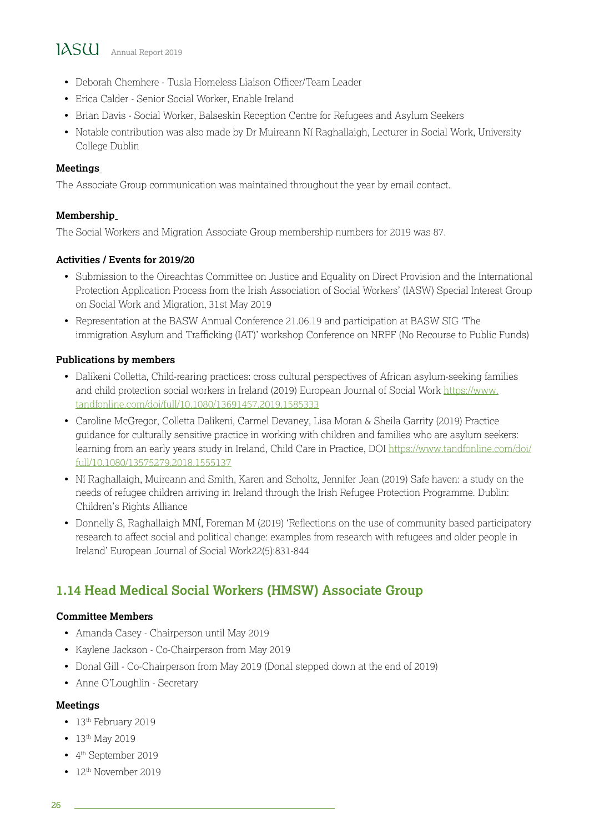### $l$ AS( $l$ ] Annual Report 2019

- Deborah Chemhere Tusla Homeless Liaison Officer/Team Leader
- Erica Calder Senior Social Worker, Enable Ireland
- Brian Davis Social Worker, Balseskin Reception Centre for Refugees and Asylum Seekers
- Notable contribution was also made by Dr Muireann Ní Raghallaigh, Lecturer in Social Work, University College Dublin

#### **Meetings**

The Associate Group communication was maintained throughout the year by email contact.

#### **Membership**

The Social Workers and Migration Associate Group membership numbers for 2019 was 87.

#### **Activities / Events for 2019/20**

- Submission to the Oireachtas Committee on Justice and Equality on Direct Provision and the International Protection Application Process from the Irish Association of Social Workers' (IASW) Special Interest Group on Social Work and Migration, 31st May 2019
- Representation at the BASW Annual Conference 21.06.19 and participation at BASW SIG 'The immigration Asylum and Trafficking (IAT)' workshop Conference on NRPF (No Recourse to Public Funds)

#### **Publications by members**

- Dalikeni Colletta, Child-rearing practices: cross cultural perspectives of African asylum-seeking families and child protection social workers in Ireland (2019) European Journal of Social Work https://www. tandfonline.com/doi/full/10.1080/13691457.2019.1585333
- Caroline McGregor, Colletta Dalikeni, Carmel Devaney, Lisa Moran & Sheila Garrity (2019) Practice guidance for culturally sensitive practice in working with children and families who are asylum seekers: learning from an early years study in Ireland, Child Care in Practice, DOI https://www.tandfonline.com/doi/ full/10.1080/13575279.2018.1555137
- Ní Raghallaigh, Muireann and Smith, Karen and Scholtz, Jennifer Jean (2019) Safe haven: a study on the needs of refugee children arriving in Ireland through the Irish Refugee Protection Programme. Dublin: Children's Rights Alliance
- Donnelly S, Raghallaigh MNÍ, Foreman M (2019) 'Reflections on the use of community based participatory research to affect social and political change: examples from research with refugees and older people in Ireland' European Journal of Social Work22(5):831-844

### **1.14 Head Medical Social Workers (HMSW) Associate Group**

#### **Committee Members**

- Amanda Casey Chairperson until May 2019
- Kaylene Jackson Co-Chairperson from May 2019
- Donal Gill Co-Chairperson from May 2019 (Donal stepped down at the end of 2019)
- Anne O'Loughlin Secretary

#### **Meetings**

- 13<sup>th</sup> February 2019
- $13^{th}$  May 2019
- 4th September 2019
- 12<sup>th</sup> November 2019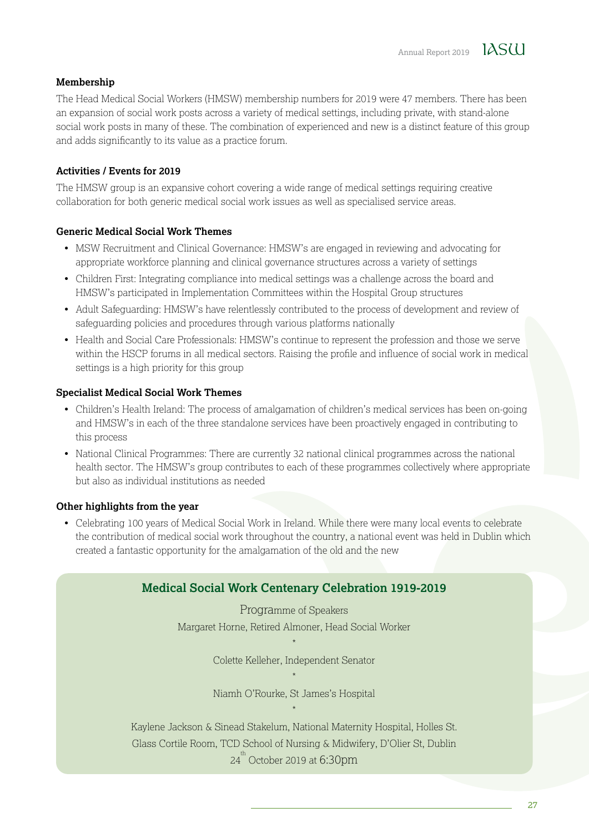#### **Membership**

The Head Medical Social Workers (HMSW) membership numbers for 2019 were 47 members. There has been an expansion of social work posts across a variety of medical settings, including private, with stand-alone social work posts in many of these. The combination of experienced and new is a distinct feature of this group and adds significantly to its value as a practice forum.

#### **Activities / Events for 2019**

The HMSW group is an expansive cohort covering a wide range of medical settings requiring creative collaboration for both generic medical social work issues as well as specialised service areas.

#### **Generic Medical Social Work Themes**

- MSW Recruitment and Clinical Governance: HMSW's are engaged in reviewing and advocating for appropriate workforce planning and clinical governance structures across a variety of settings
- Children First: Integrating compliance into medical settings was a challenge across the board and HMSW's participated in Implementation Committees within the Hospital Group structures
- Adult Safeguarding: HMSW's have relentlessly contributed to the process of development and review of safeguarding policies and procedures through various platforms nationally
- Health and Social Care Professionals: HMSW's continue to represent the profession and those we serve within the HSCP forums in all medical sectors. Raising the profile and influence of social work in medical settings is a high priority for this group

#### **Specialist Medical Social Work Themes**

- Children's Health Ireland: The process of amalgamation of children's medical services has been on-going and HMSW's in each of the three standalone services have been proactively engaged in contributing to this process
- National Clinical Programmes: There are currently 32 national clinical programmes across the national health sector. The HMSW's group contributes to each of these programmes collectively where appropriate but also as individual institutions as needed

#### **Other highlights from the year**

• Celebrating 100 years of Medical Social Work in Ireland. While there were many local events to celebrate the contribution of medical social work throughout the country, a national event was held in Dublin which created a fantastic opportunity for the amalgamation of the old and the new

### **Medical Social Work Centenary Celebration 1919-2019** Programme of Speakers Margaret Horne, Retired Almoner, Head Social Worker \* Colette Kelleher, Independent Senator \* Niamh O'Rourke, St James's Hospital \* Kaylene Jackson & Sinead Stakelum, National Maternity Hospital, Holles St. Glass Cortile Room, TCD School of Nursing & Midwifery, D'Olier St, Dublin  $24^{th}$  October 2019 at  $6:30 \mathrm{pm}$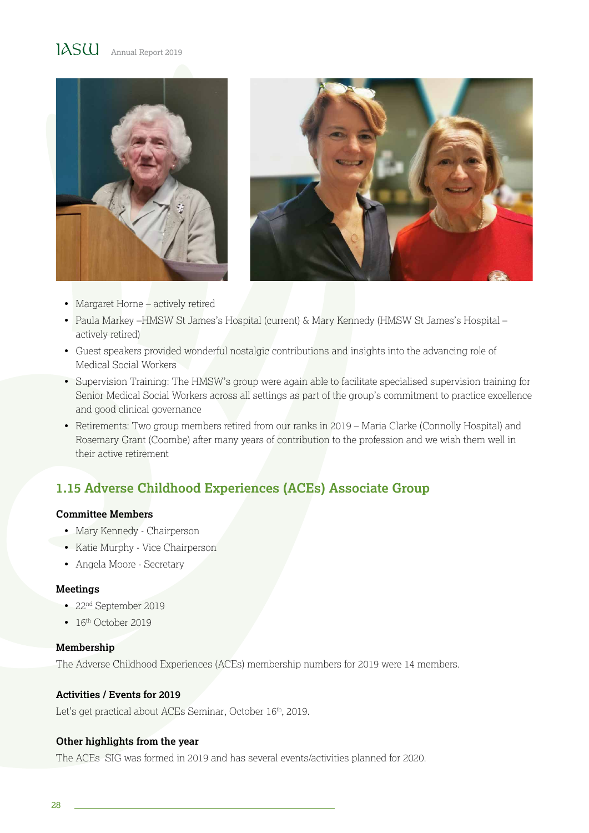### IASCU Annual Report 2019





- Margaret Horne actively retired
- Paula Markey –HMSW St James's Hospital (current) & Mary Kennedy (HMSW St James's Hospital actively retired)
- Guest speakers provided wonderful nostalgic contributions and insights into the advancing role of Medical Social Workers
- Supervision Training: The HMSW's group were again able to facilitate specialised supervision training for Senior Medical Social Workers across all settings as part of the group's commitment to practice excellence and good clinical governance
- Retirements: Two group members retired from our ranks in 2019 Maria Clarke (Connolly Hospital) and Rosemary Grant (Coombe) after many years of contribution to the profession and we wish them well in their active retirement

#### **1.15 Adverse Childhood Experiences (ACEs) Associate Group**

#### **Committee Members**

- Mary Kennedy Chairperson
- Katie Murphy Vice Chairperson
- Angela Moore Secretary

#### **Meetings**

- 22nd September 2019
- 16<sup>th</sup> October 2019

#### **Membership**

The Adverse Childhood Experiences (ACEs) membership numbers for 2019 were 14 members.

#### **Activities / Events for 2019**

Let's get practical about ACEs Seminar, October 16th, 2019.

#### **Other highlights from the year**

The ACEs SIG was formed in 2019 and has several events/activities planned for 2020.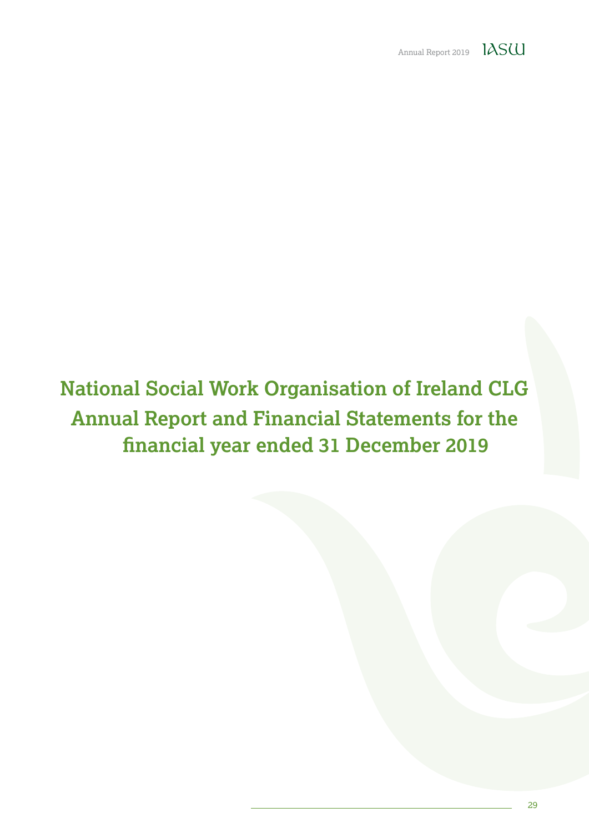Annual Report 2019



# **National Social Work Organisation of Ireland CLG Annual Report and Financial Statements for the financial year ended 31 December 2019**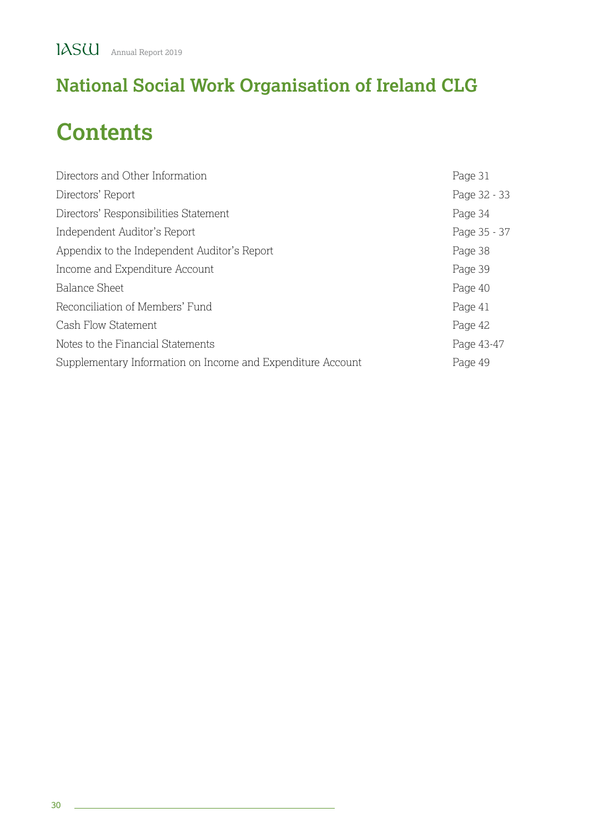# **National Social Work Organisation of Ireland CLG**

# **Contents**

| Directors and Other Information                             | Page 31      |
|-------------------------------------------------------------|--------------|
| Directors' Report                                           | Page 32 - 33 |
| Directors' Responsibilities Statement                       | Page 34      |
| Independent Auditor's Report                                | Page 35 - 37 |
| Appendix to the Independent Auditor's Report                | Page 38      |
| Income and Expenditure Account                              | Page 39      |
| Balance Sheet                                               | Page 40      |
| Reconciliation of Members' Fund                             | Page 41      |
| Cash Flow Statement                                         | Page 42      |
| Notes to the Financial Statements                           | Page 43-47   |
| Supplementary Information on Income and Expenditure Account | Page 49      |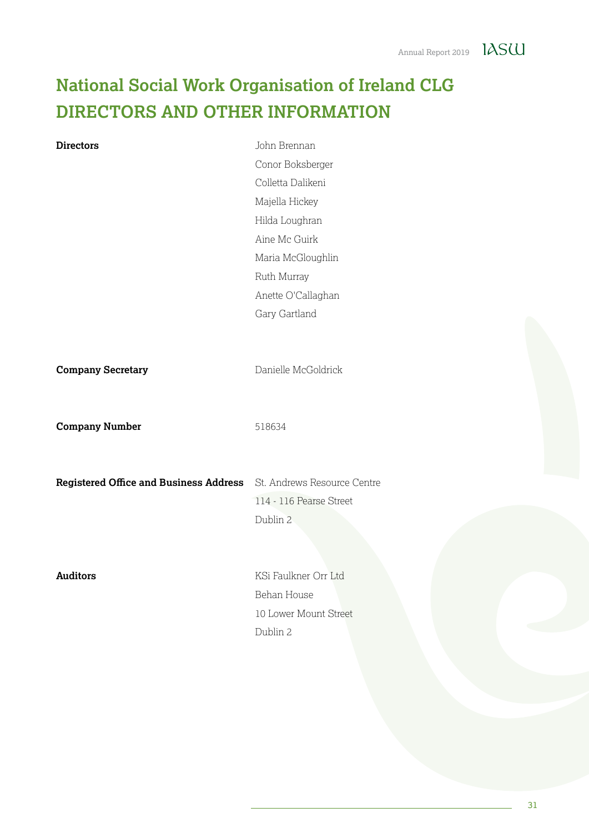# **National Social Work Organisation of Ireland CLG DIRECTORS AND OTHER INFORMATION**

| <b>Directors</b>                                                   | John Brennan            |
|--------------------------------------------------------------------|-------------------------|
|                                                                    | Conor Boksberger        |
|                                                                    | Colletta Dalikeni       |
|                                                                    | Majella Hickey          |
|                                                                    | Hilda Loughran          |
|                                                                    | Aine Mc Guirk           |
|                                                                    | Maria McGloughlin       |
|                                                                    | Ruth Murray             |
|                                                                    | Anette O'Callaghan      |
|                                                                    | Gary Gartland           |
|                                                                    |                         |
|                                                                    |                         |
| <b>Company Secretary</b>                                           | Danielle McGoldrick     |
|                                                                    |                         |
|                                                                    |                         |
| <b>Company Number</b>                                              | 518634                  |
|                                                                    |                         |
|                                                                    |                         |
| Registered Office and Business Address St. Andrews Resource Centre |                         |
|                                                                    | 114 - 116 Pearse Street |
|                                                                    | Dublin 2                |
|                                                                    |                         |
| <b>Auditors</b>                                                    | KSi Faulkner Orr Ltd    |
|                                                                    | Behan House             |
|                                                                    | 10 Lower Mount Street   |
|                                                                    | Dublin 2                |
|                                                                    |                         |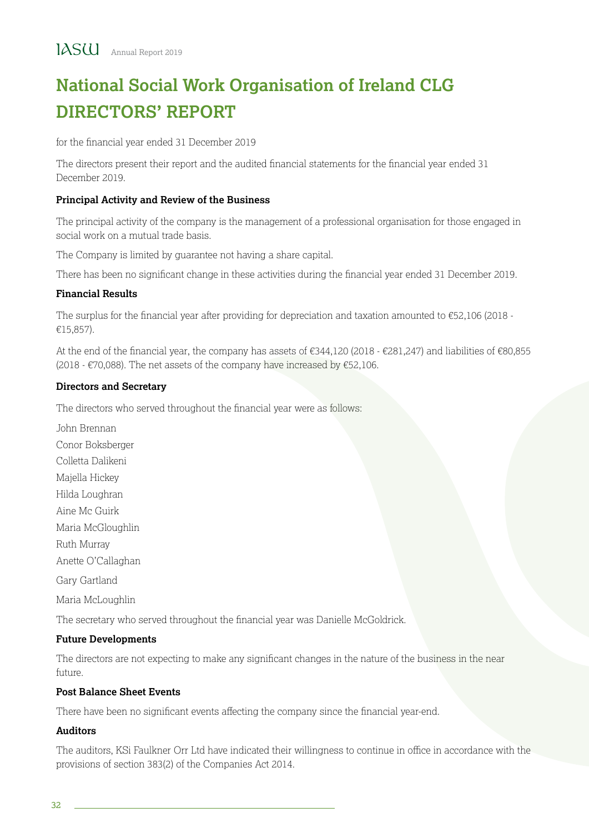# **National Social Work Organisation of Ireland CLG DIRECTORS' REPORT**

for the financial year ended 31 December 2019

The directors present their report and the audited financial statements for the financial year ended 31 December 2019.

#### **Principal Activity and Review of the Business**

The principal activity of the company is the management of a professional organisation for those engaged in social work on a mutual trade basis.

The Company is limited by guarantee not having a share capital.

There has been no significant change in these activities during the financial year ended 31 December 2019.

#### **Financial Results**

The surplus for the financial year after providing for depreciation and taxation amounted to  $\epsilon$ 52,106 (2018 -€15,857).

At the end of the financial year, the company has assets of €344,120 (2018 - €281,247) and liabilities of €80,855 (2018 -  $\epsilon$ 70,088). The net assets of the company have increased by  $\epsilon$ 52,106.

#### **Directors and Secretary**

The directors who served throughout the financial year were as follows:

John Brennan Conor Boksberger Colletta Dalikeni Majella Hickey Hilda Loughran Aine Mc Guirk Maria McGloughlin Ruth Murray Anette O'Callaghan Gary Gartland

Maria McLoughlin

The secretary who served throughout the financial year was Danielle McGoldrick.

#### **Future Developments**

The directors are not expecting to make any significant changes in the nature of the business in the near future.

#### **Post Balance Sheet Events**

There have been no significant events affecting the company since the financial year-end.

#### **Auditors**

The auditors, KSi Faulkner Orr Ltd have indicated their willingness to continue in office in accordance with the provisions of section 383(2) of the Companies Act 2014.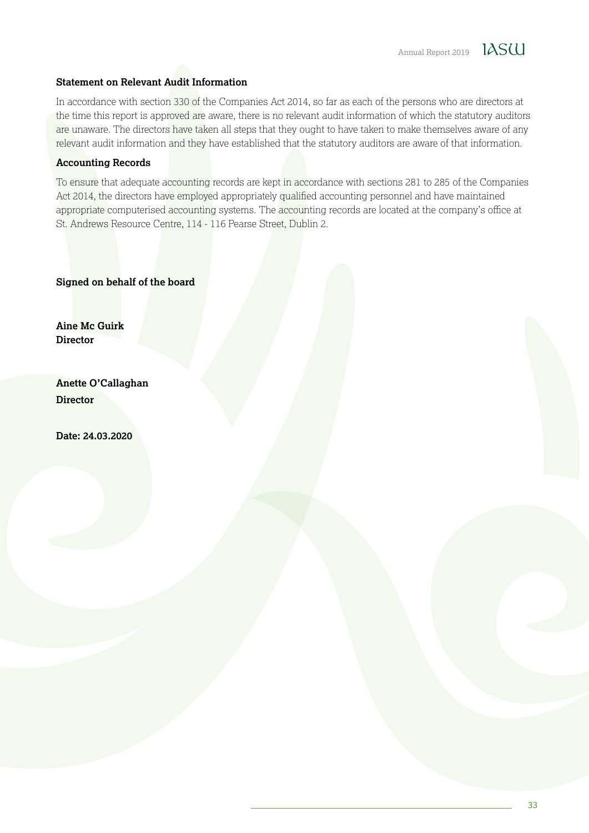#### **Statement on Relevant Audit Information**

In accordance with section 330 of the Companies Act 2014, so far as each of the persons who are directors at the time this report is approved are aware, there is no relevant audit information of which the statutory auditors are unaware. The directors have taken all steps that they ought to have taken to make themselves aware of any relevant audit information and they have established that the statutory auditors are aware of that information.

#### **Accounting Records**

To ensure that adequate accounting records are kept in accordance with sections 281 to 285 of the Companies Act 2014, the directors have employed appropriately qualified accounting personnel and have maintained appropriate computerised accounting systems. The accounting records are located at the company's office at St. Andrews Resource Centre, 114 - 116 Pearse Street, Dublin 2.

**Signed on behalf of the board**

**Aine Mc Guirk Director** 

**Anette O'Callaghan Director**

**Date: 24.03.2020**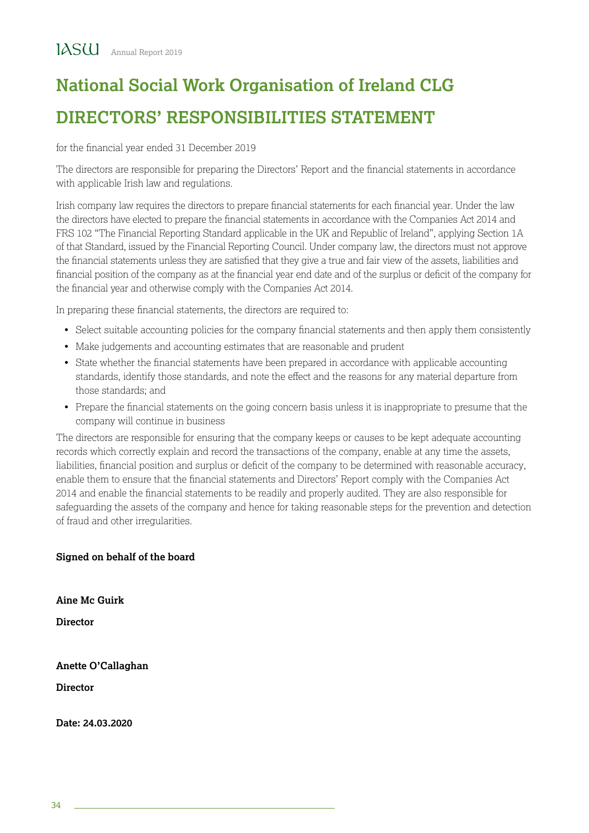# **National Social Work Organisation of Ireland CLG DIRECTORS' RESPONSIBILITIES STATEMENT**

for the financial year ended 31 December 2019

The directors are responsible for preparing the Directors' Report and the financial statements in accordance with applicable Irish law and regulations.

Irish company law requires the directors to prepare financial statements for each financial year. Under the law the directors have elected to prepare the financial statements in accordance with the Companies Act 2014 and FRS 102 "The Financial Reporting Standard applicable in the UK and Republic of Ireland", applying Section 1A of that Standard, issued by the Financial Reporting Council. Under company law, the directors must not approve the financial statements unless they are satisfied that they give a true and fair view of the assets, liabilities and financial position of the company as at the financial year end date and of the surplus or deficit of the company for the financial year and otherwise comply with the Companies Act 2014.

In preparing these financial statements, the directors are required to:

- Select suitable accounting policies for the company financial statements and then apply them consistently
- Make judgements and accounting estimates that are reasonable and prudent
- State whether the financial statements have been prepared in accordance with applicable accounting standards, identify those standards, and note the effect and the reasons for any material departure from those standards; and
- Prepare the financial statements on the going concern basis unless it is inappropriate to presume that the company will continue in business

The directors are responsible for ensuring that the company keeps or causes to be kept adequate accounting records which correctly explain and record the transactions of the company, enable at any time the assets, liabilities, financial position and surplus or deficit of the company to be determined with reasonable accuracy, enable them to ensure that the financial statements and Directors' Report comply with the Companies Act 2014 and enable the financial statements to be readily and properly audited. They are also responsible for safeguarding the assets of the company and hence for taking reasonable steps for the prevention and detection of fraud and other irregularities.

#### **Signed on behalf of the board**

**Aine Mc Guirk**

**Director**

**Anette O'Callaghan**

**Director**

**Date: 24.03.2020**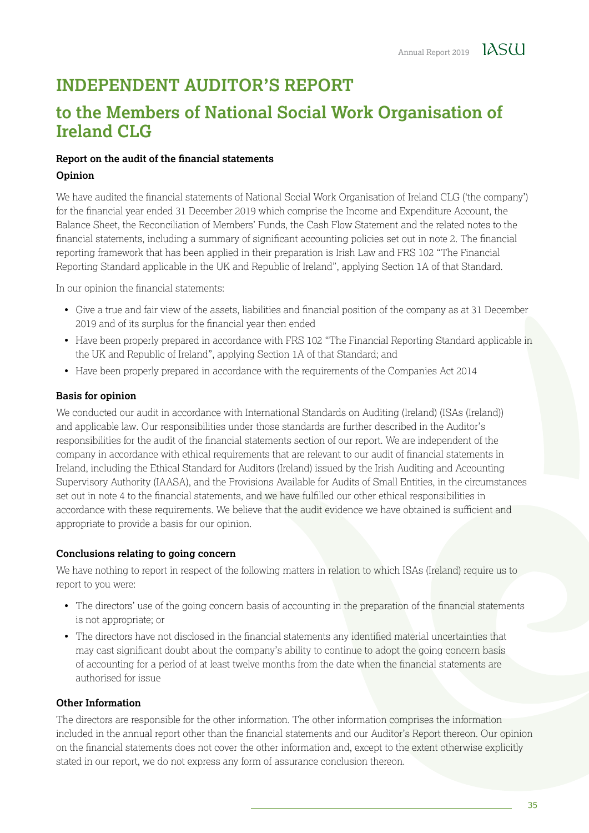# **INDEPENDENT AUDITOR'S REPORT**

### **to the Members of National Social Work Organisation of Ireland CLG**

#### **Report on the audit of the financial statements Opinion**

We have audited the financial statements of National Social Work Organisation of Ireland CLG ('the company') for the financial year ended 31 December 2019 which comprise the Income and Expenditure Account, the Balance Sheet, the Reconciliation of Members' Funds, the Cash Flow Statement and the related notes to the financial statements, including a summary of significant accounting policies set out in note 2. The financial reporting framework that has been applied in their preparation is Irish Law and FRS 102 "The Financial Reporting Standard applicable in the UK and Republic of Ireland", applying Section 1A of that Standard.

In our opinion the financial statements:

- Give a true and fair view of the assets, liabilities and financial position of the company as at 31 December 2019 and of its surplus for the financial year then ended
- Have been properly prepared in accordance with FRS 102 "The Financial Reporting Standard applicable in the UK and Republic of Ireland", applying Section 1A of that Standard; and
- Have been properly prepared in accordance with the requirements of the Companies Act 2014

#### **Basis for opinion**

We conducted our audit in accordance with International Standards on Auditing (Ireland) (ISAs (Ireland)) and applicable law. Our responsibilities under those standards are further described in the Auditor's responsibilities for the audit of the financial statements section of our report. We are independent of the company in accordance with ethical requirements that are relevant to our audit of financial statements in Ireland, including the Ethical Standard for Auditors (Ireland) issued by the Irish Auditing and Accounting Supervisory Authority (IAASA), and the Provisions Available for Audits of Small Entities, in the circumstances set out in note 4 to the financial statements, and we have fulfilled our other ethical responsibilities in accordance with these requirements. We believe that the audit evidence we have obtained is sufficient and appropriate to provide a basis for our opinion.

#### **Conclusions relating to going concern**

We have nothing to report in respect of the following matters in relation to which ISAs (Ireland) require us to report to you were:

- The directors' use of the going concern basis of accounting in the preparation of the financial statements is not appropriate; or
- The directors have not disclosed in the financial statements any identified material uncertainties that may cast significant doubt about the company's ability to continue to adopt the going concern basis of accounting for a period of at least twelve months from the date when the financial statements are authorised for issue

#### **Other Information**

The directors are responsible for the other information. The other information comprises the information included in the annual report other than the financial statements and our Auditor's Report thereon. Our opinion on the financial statements does not cover the other information and, except to the extent otherwise explicitly stated in our report, we do not express any form of assurance conclusion thereon.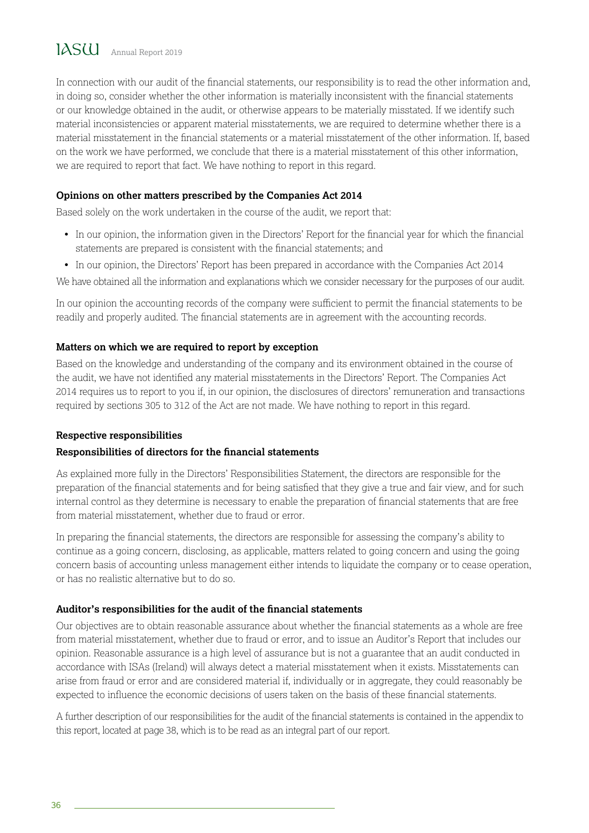### $l$ AS( $l$ ] Annual Report 2019

In connection with our audit of the financial statements, our responsibility is to read the other information and, in doing so, consider whether the other information is materially inconsistent with the financial statements or our knowledge obtained in the audit, or otherwise appears to be materially misstated. If we identify such material inconsistencies or apparent material misstatements, we are required to determine whether there is a material misstatement in the financial statements or a material misstatement of the other information. If, based on the work we have performed, we conclude that there is a material misstatement of this other information, we are required to report that fact. We have nothing to report in this regard.

#### **Opinions on other matters prescribed by the Companies Act 2014**

Based solely on the work undertaken in the course of the audit, we report that:

- In our opinion, the information given in the Directors' Report for the financial year for which the financial statements are prepared is consistent with the financial statements; and
- In our opinion, the Directors' Report has been prepared in accordance with the Companies Act 2014

We have obtained all the information and explanations which we consider necessary for the purposes of our audit.

In our opinion the accounting records of the company were sufficient to permit the financial statements to be readily and properly audited. The financial statements are in agreement with the accounting records.

#### **Matters on which we are required to report by exception**

Based on the knowledge and understanding of the company and its environment obtained in the course of the audit, we have not identified any material misstatements in the Directors' Report. The Companies Act 2014 requires us to report to you if, in our opinion, the disclosures of directors' remuneration and transactions required by sections 305 to 312 of the Act are not made. We have nothing to report in this regard.

#### **Respective responsibilities**

#### **Responsibilities of directors for the financial statements**

As explained more fully in the Directors' Responsibilities Statement, the directors are responsible for the preparation of the financial statements and for being satisfied that they give a true and fair view, and for such internal control as they determine is necessary to enable the preparation of financial statements that are free from material misstatement, whether due to fraud or error.

In preparing the financial statements, the directors are responsible for assessing the company's ability to continue as a going concern, disclosing, as applicable, matters related to going concern and using the going concern basis of accounting unless management either intends to liquidate the company or to cease operation, or has no realistic alternative but to do so.

#### **Auditor's responsibilities for the audit of the financial statements**

Our objectives are to obtain reasonable assurance about whether the financial statements as a whole are free from material misstatement, whether due to fraud or error, and to issue an Auditor's Report that includes our opinion. Reasonable assurance is a high level of assurance but is not a guarantee that an audit conducted in accordance with ISAs (Ireland) will always detect a material misstatement when it exists. Misstatements can arise from fraud or error and are considered material if, individually or in aggregate, they could reasonably be expected to influence the economic decisions of users taken on the basis of these financial statements.

A further description of our responsibilities for the audit of the financial statements is contained in the appendix to this report, located at page 38, which is to be read as an integral part of our report.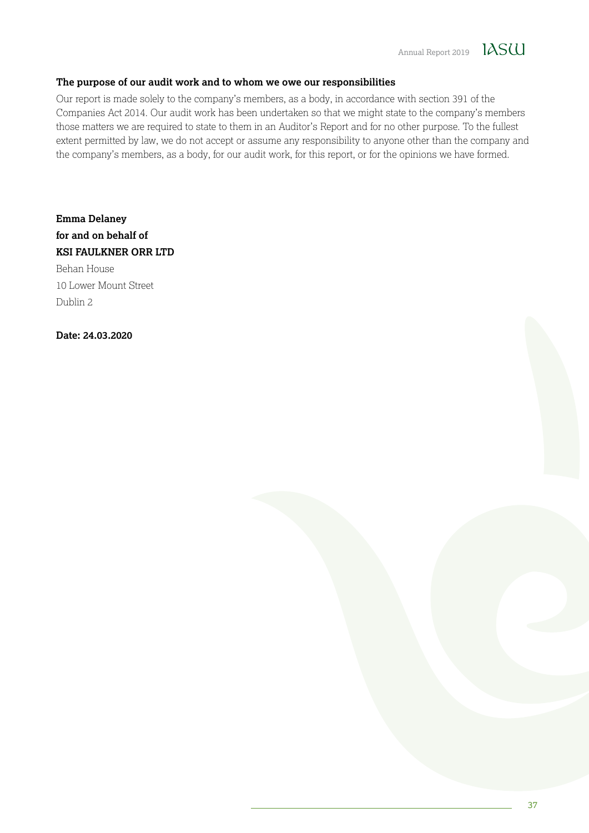#### **The purpose of our audit work and to whom we owe our responsibilities**

Our report is made solely to the company's members, as a body, in accordance with section 391 of the Companies Act 2014. Our audit work has been undertaken so that we might state to the company's members those matters we are required to state to them in an Auditor's Report and for no other purpose. To the fullest extent permitted by law, we do not accept or assume any responsibility to anyone other than the company and the company's members, as a body, for our audit work, for this report, or for the opinions we have formed.

**Emma Delaney for and on behalf of KSI FAULKNER ORR LTD** Behan House 10 Lower Mount Street Dublin 2

**Date: 24.03.2020**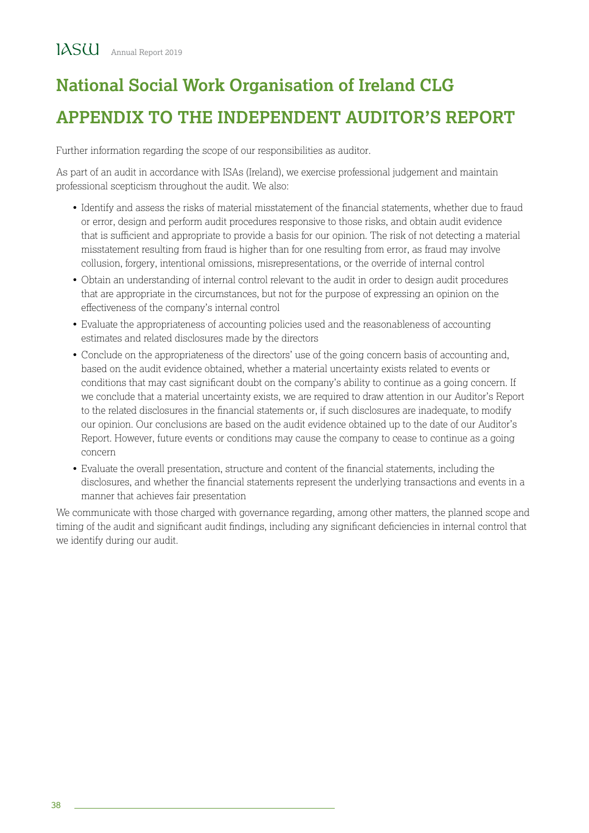# **National Social Work Organisation of Ireland CLG APPENDIX TO THE INDEPENDENT AUDITOR'S REPORT**

Further information regarding the scope of our responsibilities as auditor.

As part of an audit in accordance with ISAs (Ireland), we exercise professional judgement and maintain professional scepticism throughout the audit. We also:

- Identify and assess the risks of material misstatement of the financial statements, whether due to fraud or error, design and perform audit procedures responsive to those risks, and obtain audit evidence that is sufficient and appropriate to provide a basis for our opinion. The risk of not detecting a material misstatement resulting from fraud is higher than for one resulting from error, as fraud may involve collusion, forgery, intentional omissions, misrepresentations, or the override of internal control
- Obtain an understanding of internal control relevant to the audit in order to design audit procedures that are appropriate in the circumstances, but not for the purpose of expressing an opinion on the effectiveness of the company's internal control
- Evaluate the appropriateness of accounting policies used and the reasonableness of accounting estimates and related disclosures made by the directors
- Conclude on the appropriateness of the directors' use of the going concern basis of accounting and, based on the audit evidence obtained, whether a material uncertainty exists related to events or conditions that may cast significant doubt on the company's ability to continue as a going concern. If we conclude that a material uncertainty exists, we are required to draw attention in our Auditor's Report to the related disclosures in the financial statements or, if such disclosures are inadequate, to modify our opinion. Our conclusions are based on the audit evidence obtained up to the date of our Auditor's Report. However, future events or conditions may cause the company to cease to continue as a going concern
- Evaluate the overall presentation, structure and content of the financial statements, including the disclosures, and whether the financial statements represent the underlying transactions and events in a manner that achieves fair presentation

We communicate with those charged with governance regarding, among other matters, the planned scope and timing of the audit and significant audit findings, including any significant deficiencies in internal control that we identify during our audit.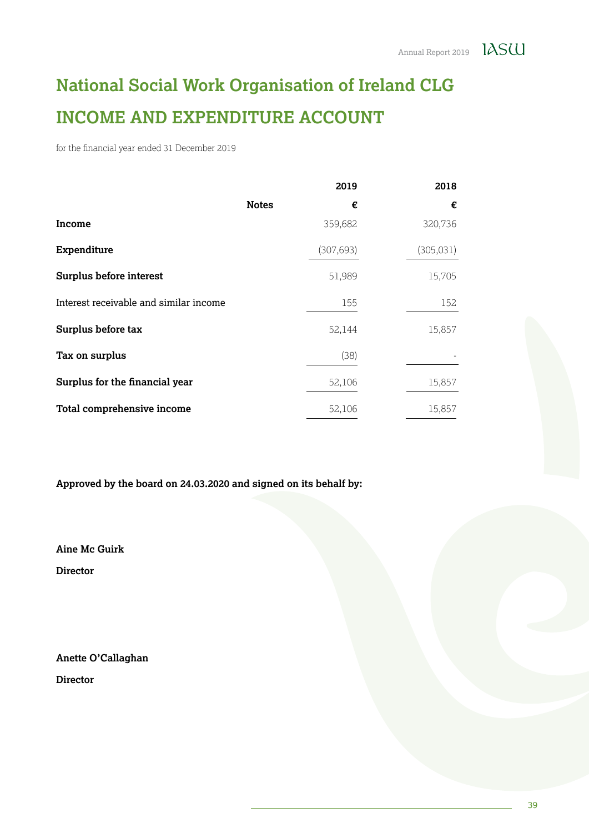# **National Social Work Organisation of Ireland CLG INCOME AND EXPENDITURE ACCOUNT**

for the financial year ended 31 December 2019

|                                        |              | 2019       | 2018       |
|----------------------------------------|--------------|------------|------------|
|                                        | <b>Notes</b> | €          | €          |
| Income                                 |              | 359,682    | 320,736    |
| <b>Expenditure</b>                     |              | (307, 693) | (305, 031) |
| Surplus before interest                |              | 51,989     | 15,705     |
| Interest receivable and similar income |              | 155        | 152        |
| Surplus before tax                     |              | 52,144     | 15,857     |
| Tax on surplus                         |              | (38)       |            |
| Surplus for the financial year         |              | 52,106     | 15,857     |
| Total comprehensive income             |              | 52,106     | 15,857     |

**Approved by the board on 24.03.2020 and signed on its behalf by:**

**Aine Mc Guirk**

**Director**

**Anette O'Callaghan Director**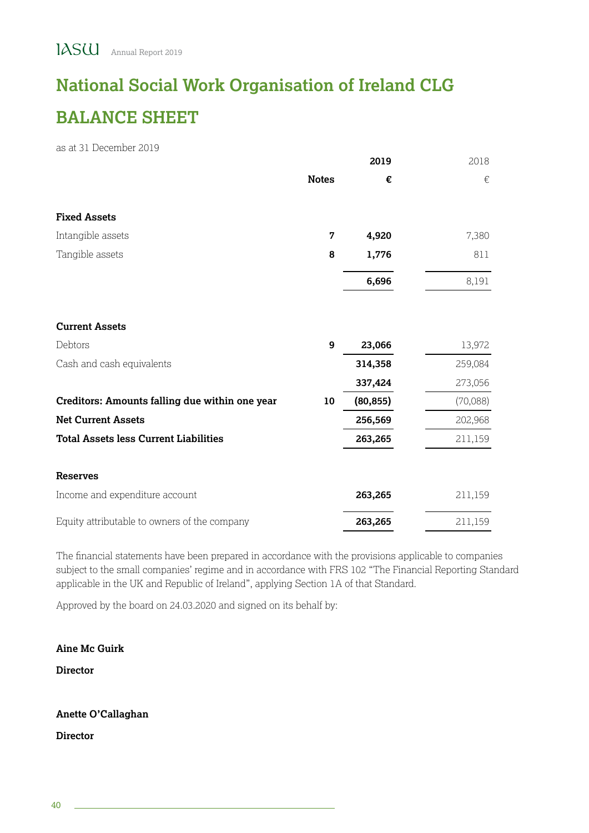# **National Social Work Organisation of Ireland CLG BALANCE SHEET**

as at 31 December 2019

|                                                |              | 2019      | 2018     |
|------------------------------------------------|--------------|-----------|----------|
|                                                | <b>Notes</b> | €         | €        |
| <b>Fixed Assets</b>                            |              |           |          |
| Intangible assets                              | 7            | 4,920     | 7,380    |
| Tangible assets                                | 8            | 1,776     | 811      |
|                                                |              | 6,696     | 8,191    |
| <b>Current Assets</b>                          |              |           |          |
| Debtors                                        | 9            | 23,066    | 13,972   |
| Cash and cash equivalents                      |              | 314,358   | 259,084  |
|                                                |              | 337,424   | 273,056  |
| Creditors: Amounts falling due within one year | 10           | (80, 855) | (70,088) |
| <b>Net Current Assets</b>                      |              | 256,569   | 202,968  |
| <b>Total Assets less Current Liabilities</b>   |              | 263,265   | 211,159  |
| <b>Reserves</b>                                |              |           |          |
| Income and expenditure account                 |              | 263,265   | 211,159  |
| Equity attributable to owners of the company   |              | 263,265   | 211,159  |

The financial statements have been prepared in accordance with the provisions applicable to companies subject to the small companies' regime and in accordance with FRS 102 "The Financial Reporting Standard applicable in the UK and Republic of Ireland", applying Section 1A of that Standard.

Approved by the board on 24.03.2020 and signed on its behalf by:

# **Aine Mc Guirk Director**

#### **Anette O'Callaghan**

**Director**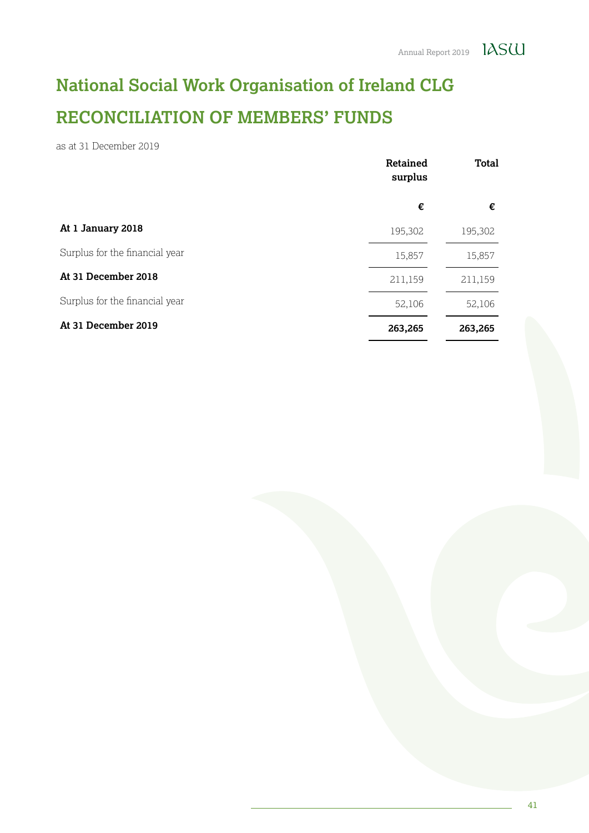# **National Social Work Organisation of Ireland CLG RECONCILIATION OF MEMBERS' FUNDS**

as at 31 December 2019

|                                | Retained<br>surplus |         |
|--------------------------------|---------------------|---------|
|                                | €                   | €       |
| At 1 January 2018              | 195,302             | 195,302 |
| Surplus for the financial year | 15,857              | 15,857  |
| At 31 December 2018            | 211,159             | 211,159 |
| Surplus for the financial year | 52,106              | 52,106  |
| At 31 December 2019            | 263,265             | 263,265 |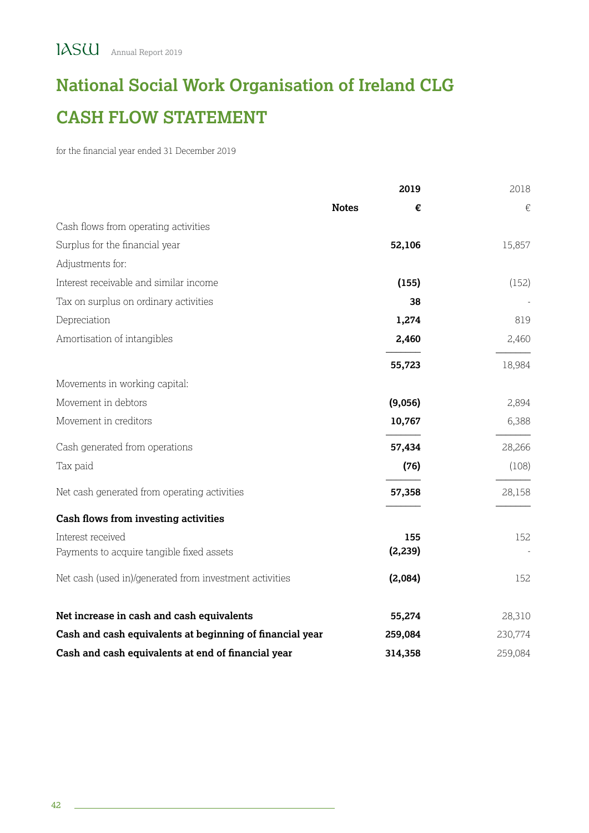# **National Social Work Organisation of Ireland CLG CASH FLOW STATEMENT**

for the financial year ended 31 December 2019

|                                                          | 2019              | 2018    |
|----------------------------------------------------------|-------------------|---------|
|                                                          | <b>Notes</b><br>€ | $\in$   |
| Cash flows from operating activities                     |                   |         |
| Surplus for the financial year                           | 52,106            | 15,857  |
| Adjustments for:                                         |                   |         |
| Interest receivable and similar income                   | (155)             | (152)   |
| Tax on surplus on ordinary activities                    | 38                |         |
| Depreciation                                             | 1,274             | 819     |
| Amortisation of intangibles                              | 2,460             | 2,460   |
|                                                          | 55,723            | 18,984  |
| Movements in working capital:                            |                   |         |
| Movement in debtors                                      | (9,056)           | 2,894   |
| Movement in creditors                                    | 10,767            | 6,388   |
| Cash generated from operations                           | 57,434            | 28,266  |
| Tax paid                                                 | (76)              | (108)   |
| Net cash generated from operating activities             | 57,358            | 28,158  |
| Cash flows from investing activities                     |                   |         |
| Interest received                                        | 155               | 152     |
| Payments to acquire tangible fixed assets                | (2, 239)          |         |
| Net cash (used in)/generated from investment activities  | (2,084)           | 152     |
| Net increase in cash and cash equivalents                | 55,274            | 28,310  |
| Cash and cash equivalents at beginning of financial year | 259,084           | 230,774 |
| Cash and cash equivalents at end of financial year       | 314,358           | 259,084 |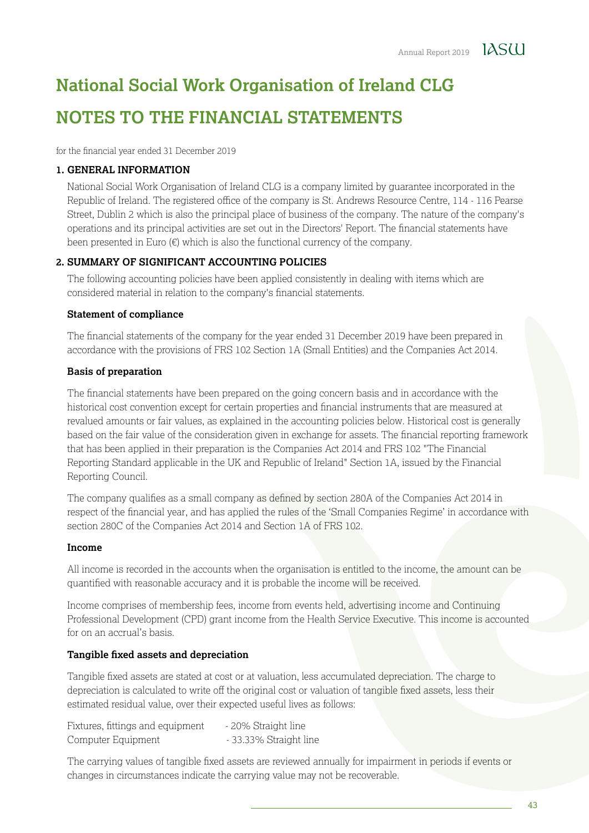# **National Social Work Organisation of Ireland CLG NOTES TO THE FINANCIAL STATEMENTS**

for the financial year ended 31 December 2019

#### **1. GENERAL INFORMATION**

National Social Work Organisation of Ireland CLG is a company limited by guarantee incorporated in the Republic of Ireland. The registered office of the company is St. Andrews Resource Centre, 114 - 116 Pearse Street, Dublin 2 which is also the principal place of business of the company. The nature of the company's operations and its principal activities are set out in the Directors' Report. The financial statements have been presented in Euro  $(\epsilon)$  which is also the functional currency of the company.

#### **2. SUMMARY OF SIGNIFICANT ACCOUNTING POLICIES**

The following accounting policies have been applied consistently in dealing with items which are considered material in relation to the company's financial statements.

#### **Statement of compliance**

The financial statements of the company for the year ended 31 December 2019 have been prepared in accordance with the provisions of FRS 102 Section 1A (Small Entities) and the Companies Act 2014.

#### **Basis of preparation**

The financial statements have been prepared on the going concern basis and in accordance with the historical cost convention except for certain properties and financial instruments that are measured at revalued amounts or fair values, as explained in the accounting policies below. Historical cost is generally based on the fair value of the consideration given in exchange for assets. The financial reporting framework that has been applied in their preparation is the Companies Act 2014 and FRS 102 "The Financial Reporting Standard applicable in the UK and Republic of Ireland" Section 1A, issued by the Financial Reporting Council.

The company qualifies as a small company as defined by section 280A of the Companies Act 2014 in respect of the financial year, and has applied the rules of the 'Small Companies Regime' in accordance with section 280C of the Companies Act 2014 and Section 1A of FRS 102.

#### **Income**

All income is recorded in the accounts when the organisation is entitled to the income, the amount can be quantified with reasonable accuracy and it is probable the income will be received.

Income comprises of membership fees, income from events held, advertising income and Continuing Professional Development (CPD) grant income from the Health Service Executive. This income is accounted for on an accrual's basis.

#### **Tangible fixed assets and depreciation**

Tangible fixed assets are stated at cost or at valuation, less accumulated depreciation. The charge to depreciation is calculated to write off the original cost or valuation of tangible fixed assets, less their estimated residual value, over their expected useful lives as follows:

| Fixtures, fittings and equipment | - 20% Straight line    |
|----------------------------------|------------------------|
| Computer Equipment               | - 33.33% Straight line |

The carrying values of tangible fixed assets are reviewed annually for impairment in periods if events or changes in circumstances indicate the carrying value may not be recoverable.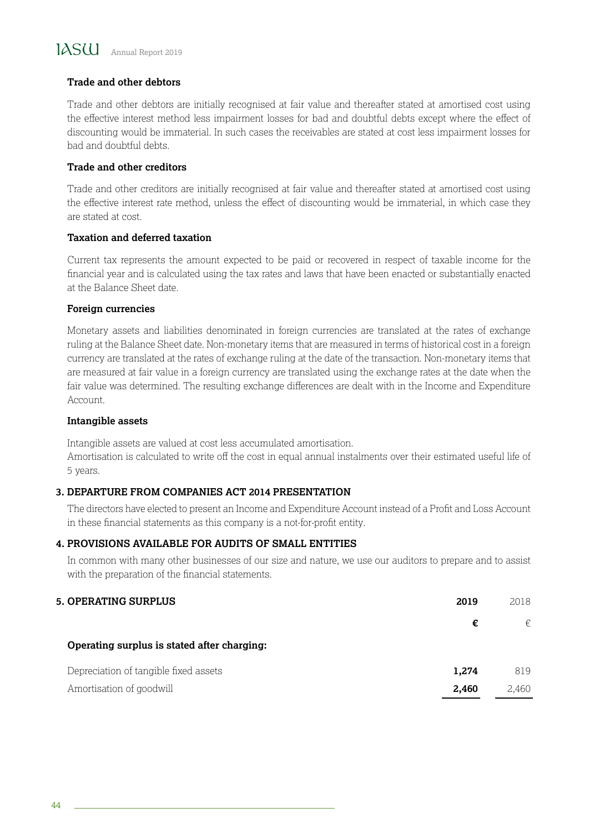#### **Trade and other debtors**

Trade and other debtors are initially recognised at fair value and thereafter stated at amortised cost using the effective interest method less impairment losses for bad and doubtful debts except where the effect of discounting would be immaterial. In such cases the receivables are stated at cost less impairment losses for bad and doubtful debts.

#### **Trade and other creditors**

Trade and other creditors are initially recognised at fair value and thereafter stated at amortised cost using the effective interest rate method, unless the effect of discounting would be immaterial, in which case they are stated at cost.

#### **Taxation and deferred taxation**

Current tax represents the amount expected to be paid or recovered in respect of taxable income for the financial year and is calculated using the tax rates and laws that have been enacted or substantially enacted at the Balance Sheet date.

#### **Foreign currencies**

Monetary assets and liabilities denominated in foreign currencies are translated at the rates of exchange ruling at the Balance Sheet date. Non-monetary items that are measured in terms of historical cost in a foreign currency are translated at the rates of exchange ruling at the date of the transaction. Non-monetary items that are measured at fair value in a foreign currency are translated using the exchange rates at the date when the fair value was determined. The resulting exchange differences are dealt with in the Income and Expenditure Account.

#### **Intangible assets**

Intangible assets are valued at cost less accumulated amortisation.

Amortisation is calculated to write off the cost in equal annual instalments over their estimated useful life of 5 years.

#### **3. DEPARTURE FROM COMPANIES ACT 2014 PRESENTATION**

The directors have elected to present an Income and Expenditure Account instead of a Profit and Loss Account in these financial statements as this company is a not-for-profit entity.

#### **4. PROVISIONS AVAILABLE FOR AUDITS OF SMALL ENTITIES**

In common with many other businesses of our size and nature, we use our auditors to prepare and to assist with the preparation of the financial statements.

| <b>5. OPERATING SURPLUS</b>                 | 2019  | 2018  |
|---------------------------------------------|-------|-------|
|                                             | €     | €     |
| Operating surplus is stated after charging: |       |       |
| Depreciation of tangible fixed assets       | 1,274 | 819   |
| Amortisation of goodwill                    | 2,460 | 2,460 |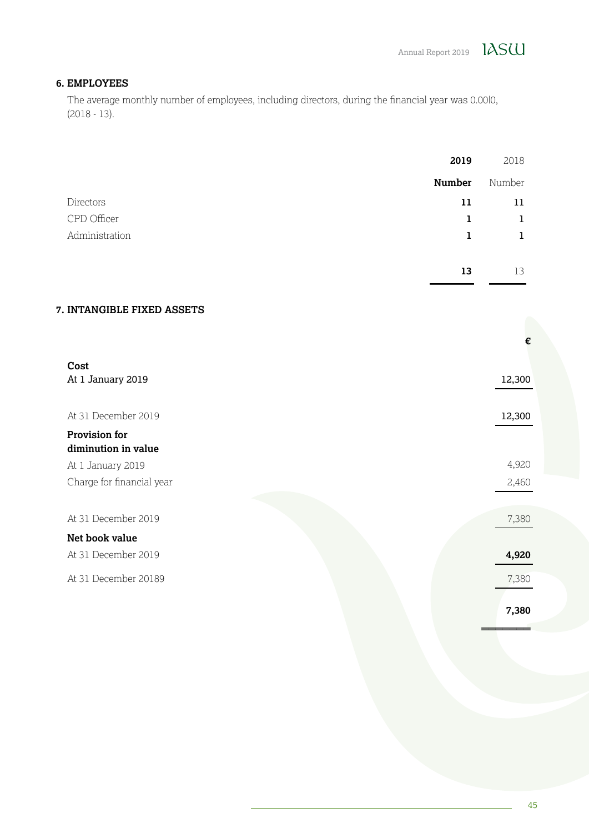#### **6. EMPLOYEES**

The average monthly number of employees, including directors, during the financial year was 0.00|0, (2018 - 13).

|                | 2019          | 2018   |
|----------------|---------------|--------|
|                | <b>Number</b> | Number |
| Directors      | 11            | 11     |
| CPD Officer    | ı             | 1      |
| Administration | ı             | 1      |
|                |               |        |
|                | 13            | 13     |

#### **7. INTANGIBLE FIXED ASSETS**

|                                      | €      |
|--------------------------------------|--------|
| Cost                                 |        |
| At 1 January 2019                    | 12,300 |
|                                      |        |
| At 31 December 2019                  | 12,300 |
| Provision for<br>diminution in value |        |
| At 1 January 2019                    | 4,920  |
| Charge for financial year            | 2,460  |
|                                      |        |
| At 31 December 2019                  | 7,380  |
| Net book value                       |        |
| At 31 December 2019                  | 4,920  |
| At 31 December 20189                 | 7,380  |
|                                      |        |
|                                      | 7,380  |
|                                      |        |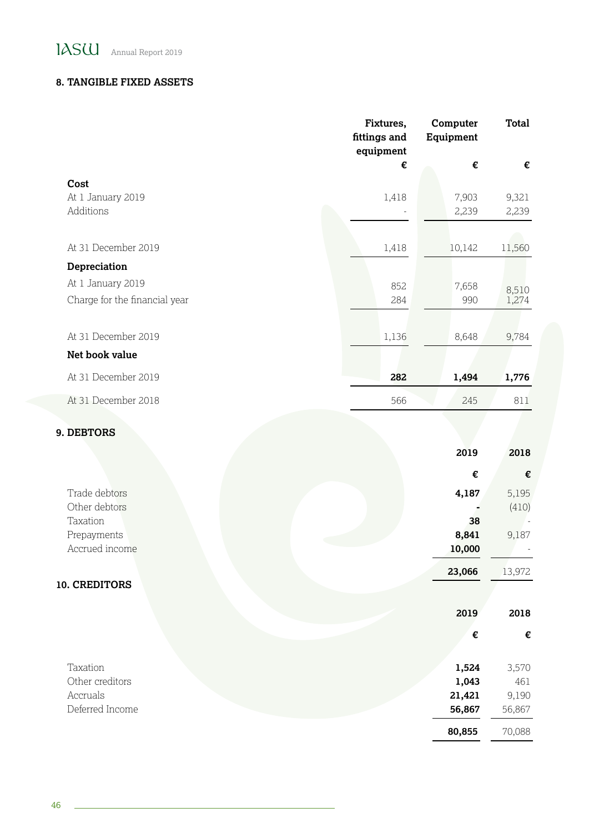#### **8. TANGIBLE FIXED ASSETS**

|                               | Fixtures,<br>fittings and<br>equipment | Computer<br>Equipment | <b>Total</b> |
|-------------------------------|----------------------------------------|-----------------------|--------------|
|                               | €                                      | €                     | €            |
| Cost                          |                                        |                       |              |
| At 1 January 2019             | 1,418                                  | 7,903                 | 9,321        |
| Additions                     |                                        | 2,239                 | 2,239        |
|                               |                                        |                       |              |
| At 31 December 2019           | 1,418                                  | 10,142                | 11,560       |
| Depreciation                  |                                        |                       |              |
| At 1 January 2019             | 852                                    | 7,658                 | 8,510        |
| Charge for the financial year | 284                                    | 990                   | 1,274        |
|                               |                                        |                       |              |
| At 31 December 2019           | 1,136                                  | 8,648                 | 9,784        |
| Net book value                |                                        |                       |              |
| At 31 December 2019           | 282                                    | 1,494                 | 1,776        |
| At 31 December 2018           | 566                                    | 245                   | 811          |
|                               |                                        |                       |              |
| 9. DEBTORS                    |                                        |                       |              |
|                               |                                        | 2019                  | 2018         |
|                               |                                        | €                     | €            |
| Trade debtors                 |                                        | 4,187                 | 5,195        |
| Other debtors                 |                                        |                       | (410)        |
| Taxation                      |                                        | 38                    |              |
| Prepayments                   |                                        | 8,841                 | 9,187        |
| Accrued income                |                                        | 10,000                |              |
| 10. CREDITORS                 |                                        | 23,066                | 13,972       |
|                               |                                        |                       |              |
|                               |                                        | 2019                  | 2018         |
|                               |                                        | €                     | €            |
|                               |                                        |                       |              |
| Taxation                      |                                        | 1,524                 | 3,570        |
| Other creditors               |                                        | 1,043                 | 461          |
| Accruals                      |                                        | 21,421                | 9,190        |
| Deferred Income               |                                        | 56,867                | 56,867       |
|                               |                                        | 80,855                | 70,088       |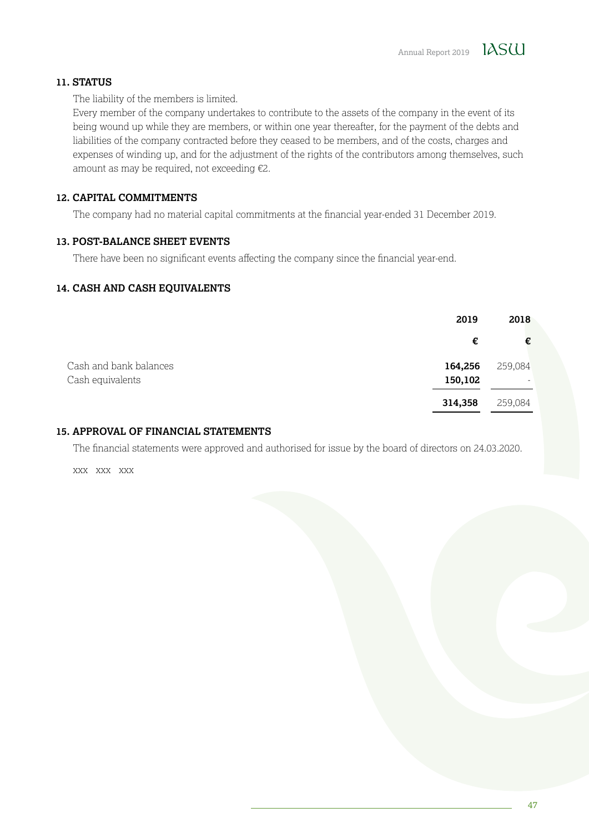#### **11. STATUS**

The liability of the members is limited.

Every member of the company undertakes to contribute to the assets of the company in the event of its being wound up while they are members, or within one year thereafter, for the payment of the debts and liabilities of the company contracted before they ceased to be members, and of the costs, charges and expenses of winding up, and for the adjustment of the rights of the contributors among themselves, such amount as may be required, not exceeding €2.

#### **12. CAPITAL COMMITMENTS**

The company had no material capital commitments at the financial year-ended 31 December 2019.

#### **13. POST-BALANCE SHEET EVENTS**

There have been no significant events affecting the company since the financial year-end.

#### **14. CASH AND CASH EQUIVALENTS**

|                                            | 2019               | 2018    |
|--------------------------------------------|--------------------|---------|
|                                            | €                  | €       |
| Cash and bank balances<br>Cash equivalents | 164,256<br>150,102 | 259,084 |
|                                            | 314,358            | 259,084 |

#### **15. APPROVAL OF FINANCIAL STATEMENTS**

The financial statements were approved and authorised for issue by the board of directors on 24.03.2020.

xxx xxx xxx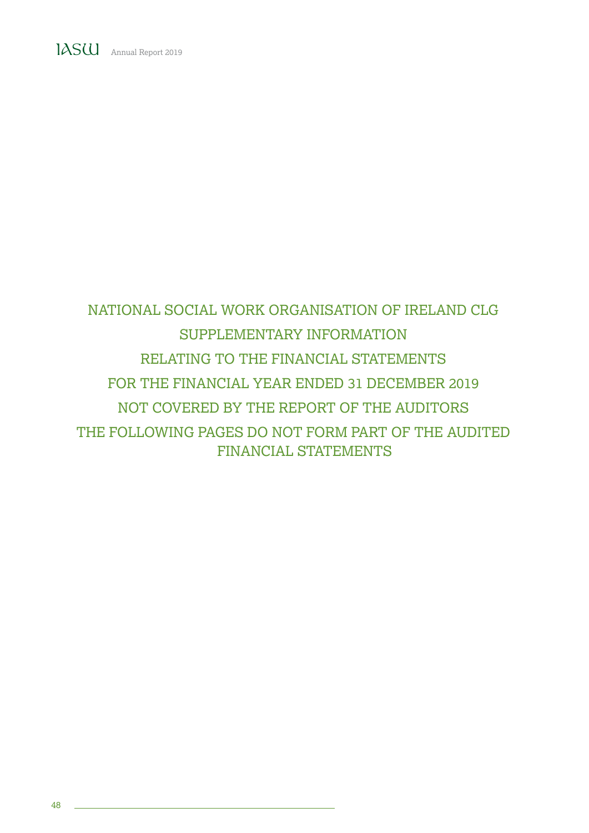### IASU Annual Report 2019

# NATIONAL SOCIAL WORK ORGANISATION OF IRELAND CLG SUPPLEMENTARY INFORMATION RELATING TO THE FINANCIAL STATEMENTS FOR THE FINANCIAL YEAR ENDED 31 DECEMBER 2019 NOT COVERED BY THE REPORT OF THE AUDITORS THE FOLLOWING PAGES DO NOT FORM PART OF THE AUDITED FINANCIAL STATEMENTS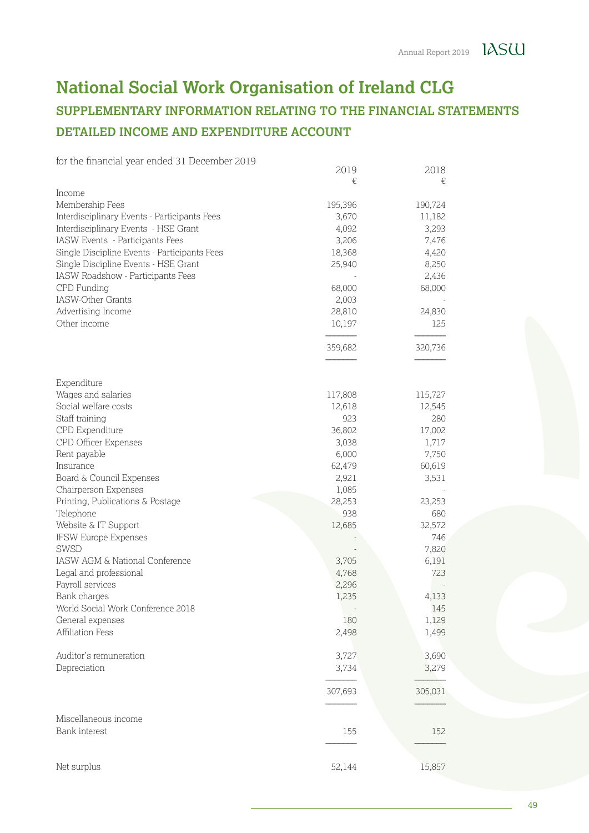# **National Social Work Organisation of Ireland CLG SUPPLEMENTARY INFORMATION RELATING TO THE FINANCIAL STATEMENTS DETAILED INCOME AND EXPENDITURE ACCOUNT**

for the financial year ended 31 December 2019

| ior the imancial year ended of December 2019 | 2019    | 2018    |
|----------------------------------------------|---------|---------|
|                                              | €       | €       |
| Income                                       |         |         |
| Membership Fees                              | 195,396 | 190,724 |
| Interdisciplinary Events - Participants Fees | 3,670   | 11,182  |
| Interdisciplinary Events - HSE Grant         | 4,092   | 3,293   |
| IASW Events - Participants Fees              | 3,206   | 7,476   |
| Single Discipline Events - Participants Fees | 18,368  | 4,420   |
| Single Discipline Events - HSE Grant         | 25,940  | 8,250   |
| IASW Roadshow - Participants Fees            |         | 2,436   |
| CPD Funding                                  | 68,000  | 68,000  |
| IASW-Other Grants                            | 2,003   |         |
| Advertising Income                           | 28,810  | 24,830  |
| Other income                                 | 10,197  | 125     |
|                                              | 359,682 | 320,736 |
|                                              |         |         |
| Expenditure<br>Wages and salaries            | 117,808 | 115,727 |
| Social welfare costs                         | 12,618  | 12,545  |
| Staff training                               | 923     | 280     |
| CPD Expenditure                              | 36,802  | 17,002  |
| CPD Officer Expenses                         | 3,038   | 1,717   |
| Rent payable                                 | 6,000   | 7,750   |
| Insurance                                    |         | 60,619  |
|                                              | 62,479  |         |
| Board & Council Expenses                     | 2,921   | 3,531   |
| Chairperson Expenses                         | 1,085   |         |
| Printing, Publications & Postage             | 28,253  | 23,253  |
| Telephone                                    | 938     | 680     |
| Website & IT Support                         | 12,685  | 32,572  |
| <b>IFSW Europe Expenses</b>                  |         | 746     |
| <b>SWSD</b>                                  |         | 7,820   |
| IASW AGM & National Conference               | 3,705   | 6,191   |
| Legal and professional                       | 4,768   | 723     |
| Payroll services                             | 2,296   |         |
| Bank charges                                 | 1,235   | 4,133   |
| World Social Work Conference 2018            |         | 145     |
| General expenses                             | 180     | 1,129   |
| Affiliation Fess                             | 2,498   | 1,499   |
| Auditor's remuneration                       | 3,727   | 3,690   |
| Depreciation                                 | 3,734   | 3,279   |
|                                              |         |         |
|                                              | 307,693 | 305,031 |
| Miscellaneous income                         |         |         |
| Bank interest                                | 155     | 152     |
| Net surplus                                  | 52,144  | 15,857  |
|                                              |         |         |